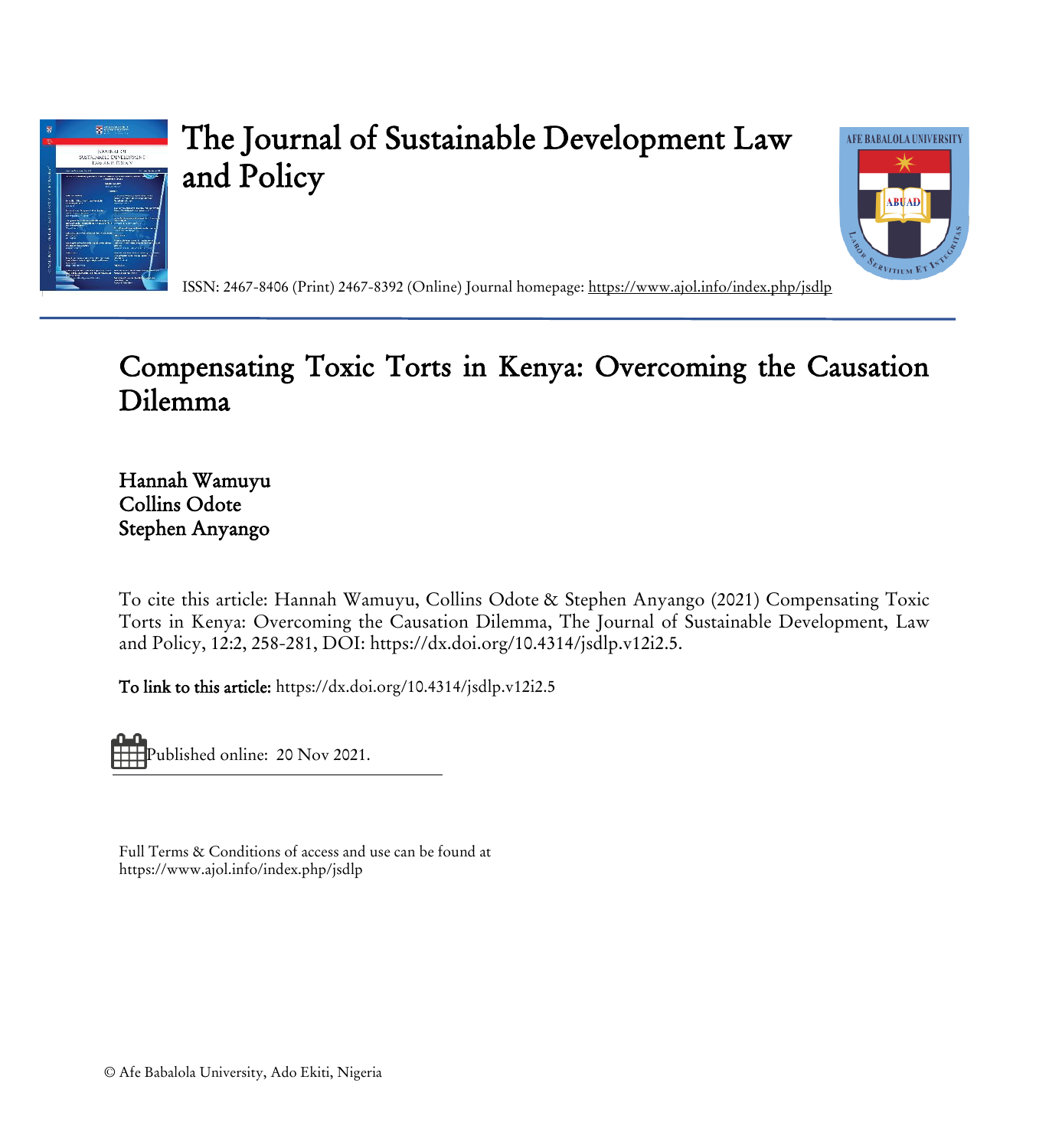

# The Journal of Sustainable Development Law and Policy



ISSN: 2467-8406 (Print) 2467-8392 (Online) Journal homepage:<https://www.ajol.info/index.php/jsdlp>

# Compensating Toxic Torts in Kenya: Overcoming the Causation Dilemma

Hannah Wamuyu Collins Odote Stephen Anyango

To cite this article: Hannah Wamuyu, Collins Odote & Stephen Anyango (2021) Compensating Toxic Torts in Kenya: Overcoming the Causation Dilemma, The Journal of Sustainable Development, Law and Policy, 12:2, 258-281, DOI: https://dx.doi.org/10.4314/jsdlp.v12i2.5.

To link to this article: https://dx.doi.org/10.4314/jsdlp.v12i2.5

Published online: 20 Nov 2021.

Full Terms & Conditions of access and use can be found at https://www.ajol.info/index.php/jsdlp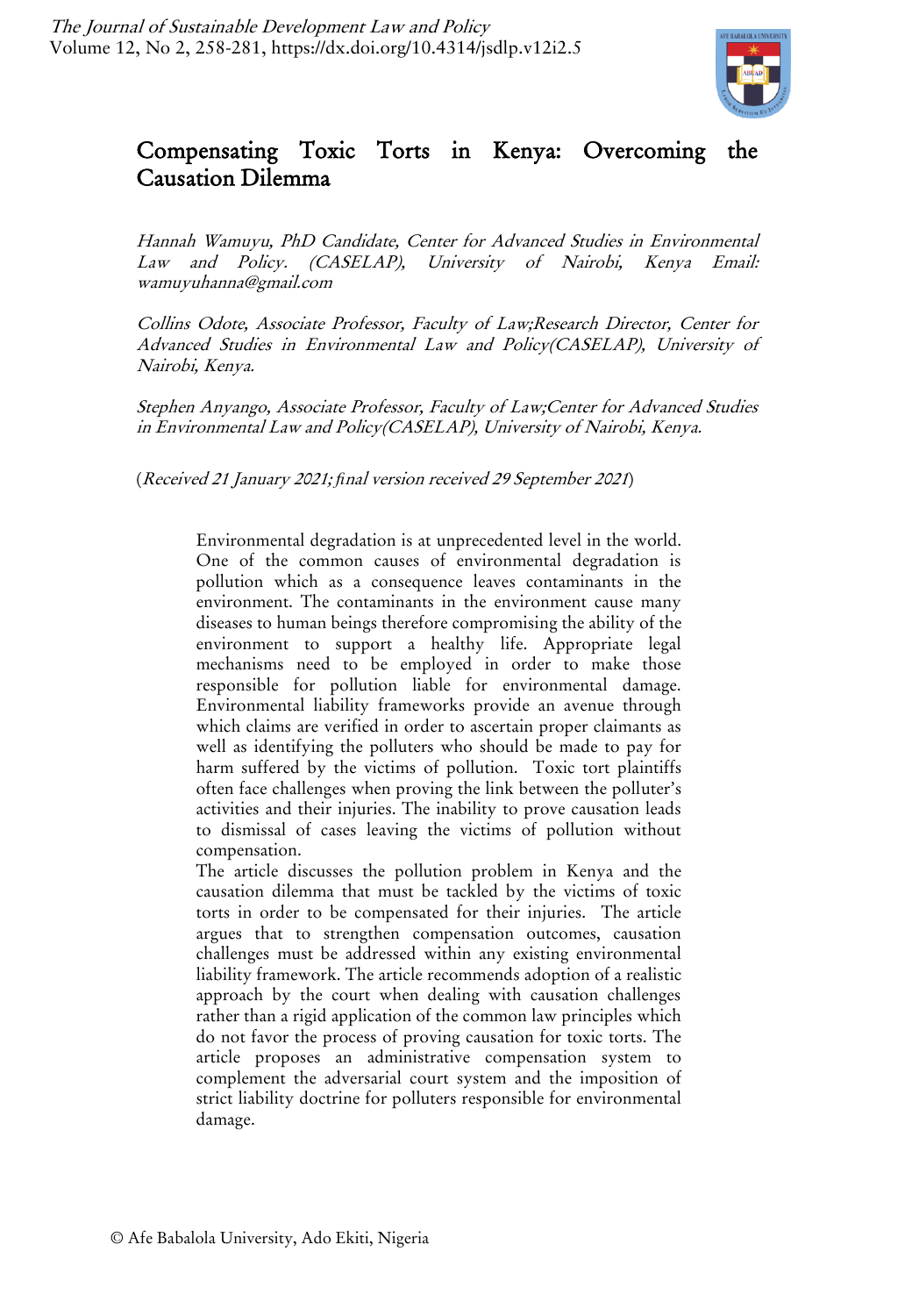

# Compensating Toxic Torts in Kenya: Overcoming the Causation Dilemma

Hannah Wamuyu, PhD Candidate, Center for Advanced Studies in Environmental Law and Policy. (CASELAP), University of Nairobi, Kenya Email: wamuyuhanna@gmail.com

Collins Odote, Associate Professor, Faculty of Law;Research Director, Center for Advanced Studies in Environmental Law and Policy(CASELAP), University of Nairobi, Kenya.

Stephen Anyango, Associate Professor, Faculty of Law;Center for Advanced Studies in Environmental Law and Policy(CASELAP), University of Nairobi, Kenya.

(Received 21 January 2021; *fi*nal version received 29 September 2021)

Environmental degradation is at unprecedented level in the world. One of the common causes of environmental degradation is pollution which as a consequence leaves contaminants in the environment. The contaminants in the environment cause many diseases to human beings therefore compromising the ability of the environment to support a healthy life. Appropriate legal mechanisms need to be employed in order to make those responsible for pollution liable for environmental damage. Environmental liability frameworks provide an avenue through which claims are verified in order to ascertain proper claimants as well as identifying the polluters who should be made to pay for harm suffered by the victims of pollution. Toxic tort plaintiffs often face challenges when proving the link between the polluter's activities and their injuries. The inability to prove causation leads to dismissal of cases leaving the victims of pollution without compensation.

The article discusses the pollution problem in Kenya and the causation dilemma that must be tackled by the victims of toxic torts in order to be compensated for their injuries. The article argues that to strengthen compensation outcomes, causation challenges must be addressed within any existing environmental liability framework. The article recommends adoption of a realistic approach by the court when dealing with causation challenges rather than a rigid application of the common law principles which do not favor the process of proving causation for toxic torts. The article proposes an administrative compensation system to complement the adversarial court system and the imposition of strict liability doctrine for polluters responsible for environmental damage.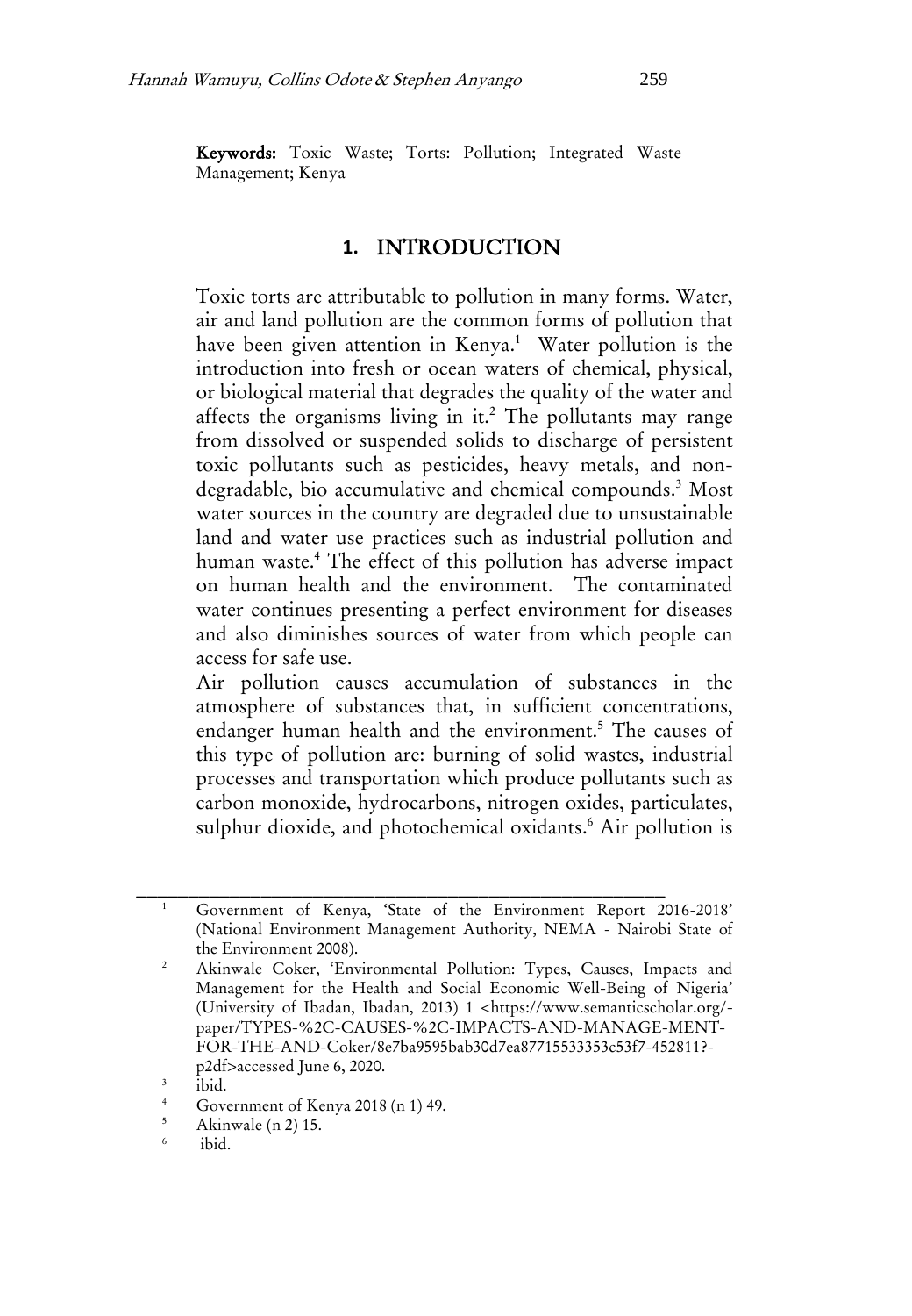Keywords: Toxic Waste; Torts: Pollution; Integrated Waste Management; Kenya

#### **1.** INTRODUCTION

Toxic torts are attributable to pollution in many forms. Water, air and land pollution are the common forms of pollution that have been given attention in Kenya.<sup>1</sup> Water pollution is the introduction into fresh or ocean waters of chemical, physical, or biological material that degrades the quality of the water and affects the organisms living in it.<sup>2</sup> The pollutants may range from dissolved or suspended solids to discharge of persistent toxic pollutants such as pesticides, heavy metals, and nondegradable, bio accumulative and chemical compounds.<sup>3</sup> Most water sources in the country are degraded due to unsustainable land and water use practices such as industrial pollution and human waste.<sup>4</sup> The effect of this pollution has adverse impact on human health and the environment. The contaminated water continues presenting a perfect environment for diseases and also diminishes sources of water from which people can access for safe use.

Air pollution causes accumulation of substances in the atmosphere of substances that, in sufficient concentrations, endanger human health and the environment.<sup>5</sup> The causes of this type of pollution are: burning of solid wastes, industrial processes and transportation which produce pollutants such as carbon monoxide, hydrocarbons, nitrogen oxides, particulates, sulphur dioxide, and photochemical oxidants.<sup>6</sup> Air pollution is

<sup>1</sup> Government of Kenya, 'State of the Environment Report 2016-2018' (National Environment Management Authority, NEMA - Nairobi State of the Environment 2008).

<sup>2</sup> Akinwale Coker, 'Environmental Pollution: Types, Causes, Impacts and Management for the Health and Social Economic Well-Being of Nigeria' (University of Ibadan, Ibadan, 2013) 1 <https://www.semanticscholar.org/ paper/TYPES-%2C-CAUSES-%2C-IMPACTS-AND-MANAGE-MENT-FOR-THE-AND-Coker/8e7ba9595bab30d7ea87715533353c53f7-452811? p2df>accessed June 6, 2020.

<sup>3</sup> ibid.

 $\frac{4}{5}$  Government of Kenya 2018 (n 1) 49.<br>Akinwale (n 2) 15

<sup>5</sup> Akinwale (n 2) 15.

<sup>6</sup> ibid.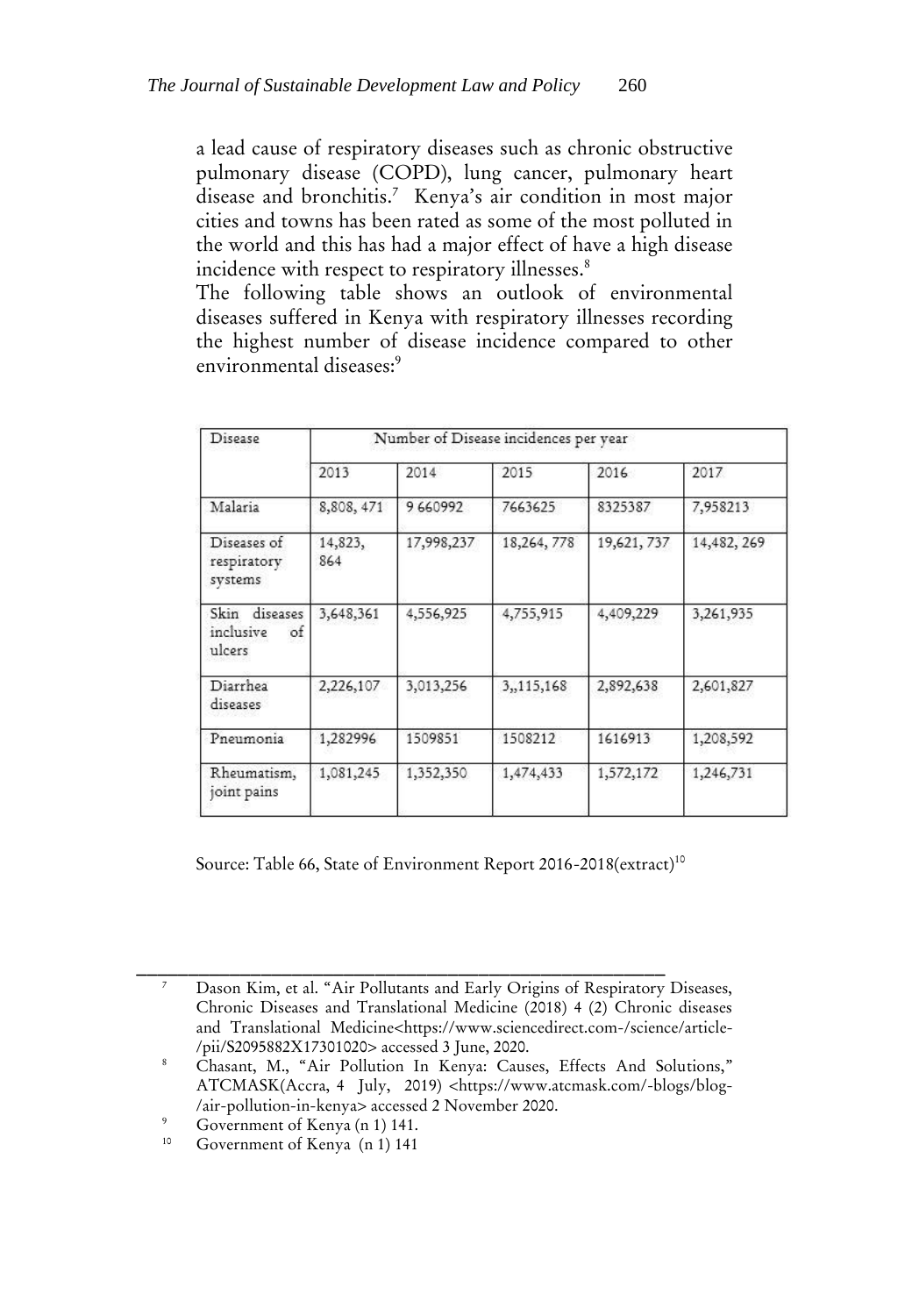a lead cause of respiratory diseases such as chronic obstructive pulmonary disease (COPD), lung cancer, pulmonary heart disease and bronchitis.<sup>7</sup> Kenya's air condition in most major cities and towns has been rated as some of the most polluted in the world and this has had a major effect of have a high disease incidence with respect to respiratory illnesses.<sup>8</sup>

The following table shows an outlook of environmental diseases suffered in Kenya with respiratory illnesses recording the highest number of disease incidence compared to other environmental diseases:<sup>9</sup>

| Disease                                        | Number of Disease incidences per year |            |            |             |             |
|------------------------------------------------|---------------------------------------|------------|------------|-------------|-------------|
|                                                | 2013                                  | 2014       | 2015       | 2016        | 2017        |
| Malaria                                        | 8,808, 471                            | 9660992    | 7663625    | 8325387     | 7,958213    |
| Diseases of<br>respiratory<br>systems          | 14,823,<br>864                        | 17,998,237 | 18,264,778 | 19,621, 737 | 14,482, 269 |
| Skin<br>diseases<br>inclusive<br>of.<br>ulcers | 3,648,361                             | 4,556,925  | 4,755,915  | 4,409,229   | 3,261,935   |
| Diarrhea<br>diseases                           | 2,226,107                             | 3,013,256  | 3,,115,168 | 2,892,638   | 2,601,827   |
| Pneumonia                                      | 1,282996                              | 1509851    | 1508212    | 1616913     | 1,208,592   |
| Rheumatism,<br>joint pains                     | 1,081,245                             | 1,352,350  | 1,474,433  | 1,572,172   | 1,246,731   |

Source: Table 66, State of Environment Report 2016-2018(extract)<sup>10</sup>

\_\_\_\_\_\_\_\_\_\_\_\_\_\_\_\_\_\_\_\_\_\_\_\_\_\_\_\_\_\_\_\_\_\_\_\_\_\_\_\_\_\_\_\_\_\_\_\_\_\_\_ <sup>7</sup> Dason Kim, et al. "Air Pollutants and Early Origins of Respiratory Diseases, Chronic Diseases and Translational Medicine (2018) 4 (2) Chronic diseases and Translational Medicine<https://www.sciencedirect.com-/science/article-/pii/S2095882X17301020> accessed 3 June, 2020.

<sup>8</sup> Chasant, M., "Air Pollution In Kenya: Causes, Effects And Solutions," ATCMASK(Accra, 4 July, 2019) <https://www.atcmask.com/-blogs/blog- /air-pollution-in-kenya> accessed 2 November 2020.

<sup>&</sup>lt;sup>9</sup> Government of Kenya (n 1) 141.

Government of Kenya (n 1) 141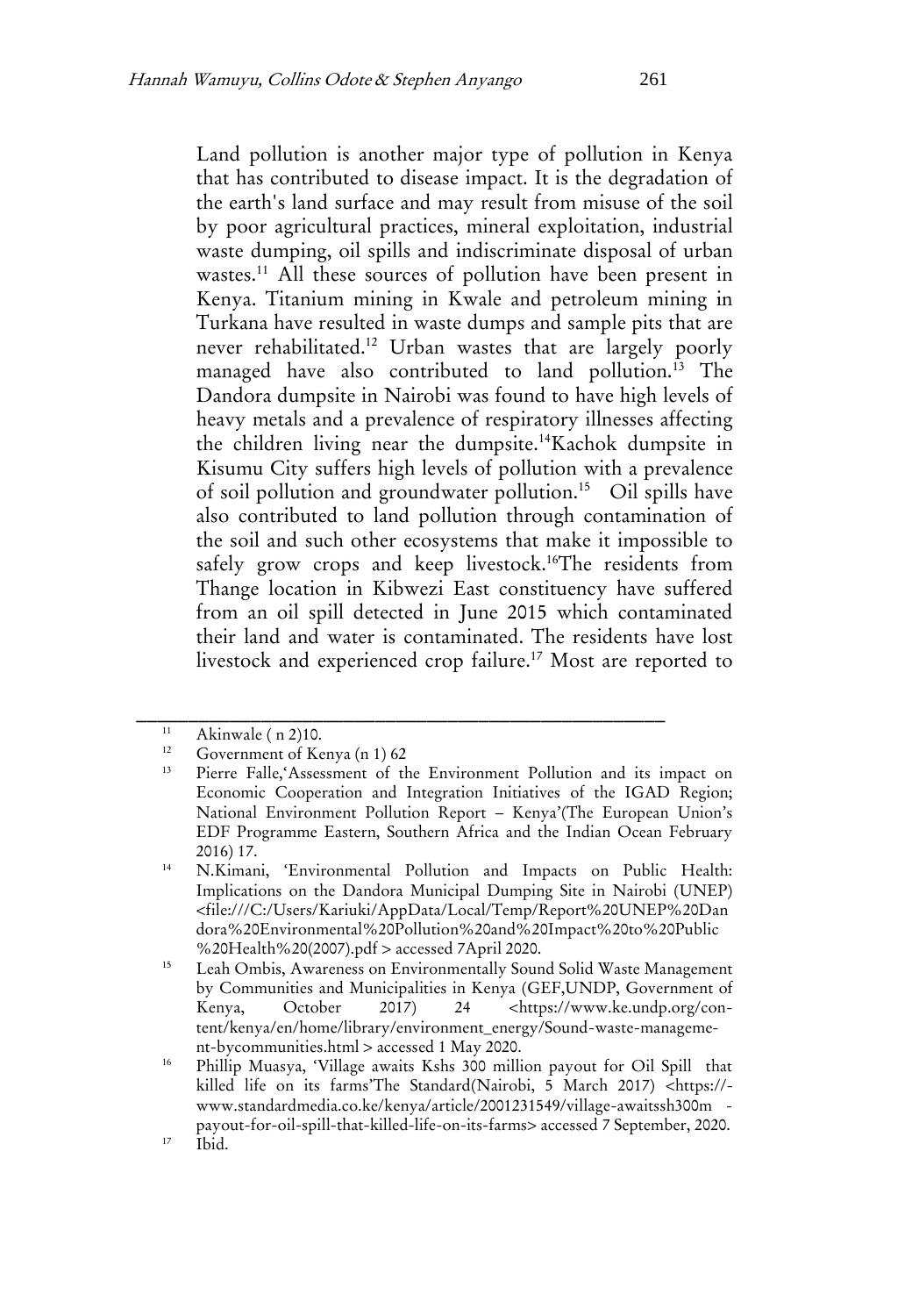Land pollution is another major type of pollution in Kenya that has contributed to disease impact. It is the degradation of the earth's land surface and may result from misuse of the soil by poor agricultural practices, mineral exploitation, industrial waste dumping, oil spills and indiscriminate disposal of urban wastes.<sup>11</sup> All these sources of pollution have been present in Kenya. Titanium mining in Kwale and petroleum mining in Turkana have resulted in waste dumps and sample pits that are never rehabilitated.<sup>12</sup> Urban wastes that are largely poorly managed have also contributed to land pollution.<sup>13</sup> The Dandora dumpsite in Nairobi was found to have high levels of heavy metals and a prevalence of respiratory illnesses affecting the children living near the dumpsite.<sup>14</sup>Kachok dumpsite in Kisumu City suffers high levels of pollution with a prevalence of soil pollution and groundwater pollution.<sup>15</sup> Oil spills have also contributed to land pollution through contamination of the soil and such other ecosystems that make it impossible to safely grow crops and keep livestock.<sup>16</sup>The residents from Thange location in Kibwezi East constituency have suffered from an oil spill detected in June 2015 which contaminated their land and water is contaminated. The residents have lost livestock and experienced crop failure.<sup>17</sup> Most are reported to

<sup>&</sup>lt;sup>11</sup> Akinwale ( n 2)10.

Government of Kenya (n 1) 62

<sup>13</sup> Pierre Falle,'Assessment of the Environment Pollution and its impact on Economic Cooperation and Integration Initiatives of the IGAD Region; National Environment Pollution Report – Kenya'(The European Union's EDF Programme Eastern, Southern Africa and the Indian Ocean February 2016) 17.

<sup>14</sup> N.Kimani, 'Environmental Pollution and Impacts on Public Health: Implications on the Dandora Municipal Dumping Site in Nairobi (UNEP) <file:///C:/Users/Kariuki/AppData/Local/Temp/Report%20UNEP%20Dan dora%20Environmental%20Pollution%20and%20Impact%20to%20Public %20Health%20(2007).pdf > accessed 7April 2020.

<sup>15</sup> Leah Ombis, Awareness on Environmentally Sound Solid Waste Management by Communities and Municipalities in Kenya (GEF,UNDP, Government of Kenya, October 2017) 24 <https://www.ke.undp.org/content/kenya/en/home/library/environment\_energy/Sound-waste-management-bycommunities.html > accessed 1 May 2020.

<sup>16</sup> Phillip Muasya, 'Village awaits Kshs 300 million payout for Oil Spill that killed life on its farms'The Standard(Nairobi, 5 March 2017) <https:// www.standardmedia.co.ke/kenya/article/2001231549/village-awaitssh300m -

payout-for-oil-spill-that-killed-life-on-its-farms> accessed 7 September, 2020.  $17$  Ibid.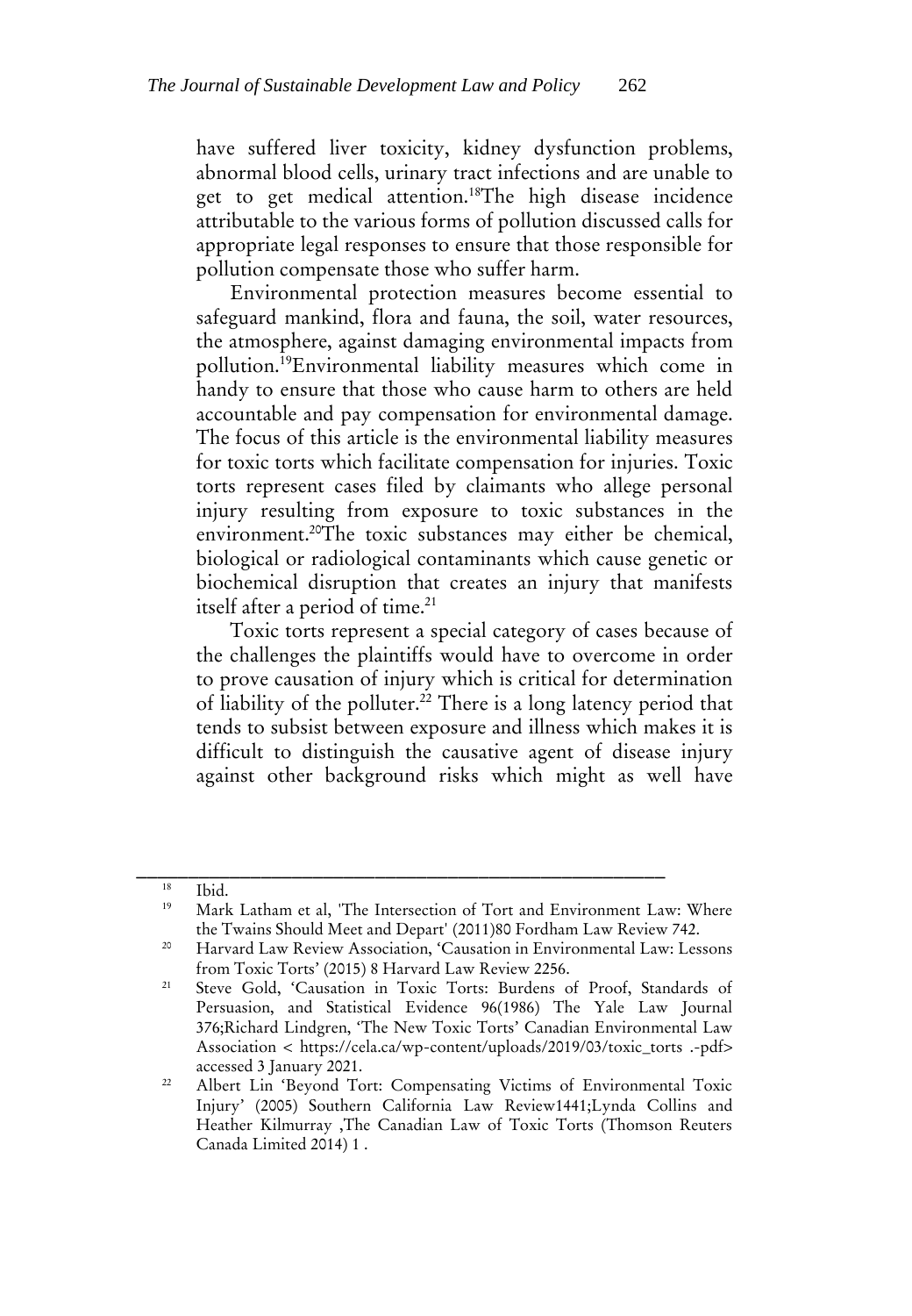have suffered liver toxicity, kidney dysfunction problems, abnormal blood cells, urinary tract infections and are unable to get to get medical attention.<sup>18</sup>The high disease incidence attributable to the various forms of pollution discussed calls for appropriate legal responses to ensure that those responsible for pollution compensate those who suffer harm.

Environmental protection measures become essential to safeguard mankind, flora and fauna, the soil, water resources, the atmosphere, against damaging environmental impacts from pollution.<sup>19</sup>Environmental liability measures which come in handy to ensure that those who cause harm to others are held accountable and pay compensation for environmental damage. The focus of this article is the environmental liability measures for toxic torts which facilitate compensation for injuries. Toxic torts represent cases filed by claimants who allege personal injury resulting from exposure to toxic substances in the environment.<sup>20</sup>The toxic substances may either be chemical, biological or radiological contaminants which cause genetic or biochemical disruption that creates an injury that manifests itself after a period of time.<sup>21</sup>

Toxic torts represent a special category of cases because of the challenges the plaintiffs would have to overcome in order to prove causation of injury which is critical for determination of liability of the polluter.<sup>22</sup> There is a long latency period that tends to subsist between exposure and illness which makes it is difficult to distinguish the causative agent of disease injury against other background risks which might as well have

 $\frac{18}{19}$  Ibid.

Mark Latham et al, 'The Intersection of Tort and Environment Law: Where the Twains Should Meet and Depart' (2011)80 Fordham Law Review 742.

<sup>&</sup>lt;sup>20</sup> Harvard Law Review Association, 'Causation in Environmental Law: Lessons from Toxic Torts' (2015) 8 Harvard Law Review 2256.

<sup>21</sup> Steve Gold, 'Causation in Toxic Torts: Burdens of Proof, Standards of Persuasion, and Statistical Evidence 96(1986) The Yale Law Journal 376;Richard Lindgren, 'The New Toxic Torts' Canadian Environmental Law Association < https://cela.ca/wp-content/uploads/2019/03/toxic\_torts .-pdf> accessed 3 January 2021.

<sup>&</sup>lt;sup>22</sup> Albert Lin 'Beyond Tort: Compensating Victims of Environmental Toxic Injury' (2005) Southern California Law Review1441;Lynda Collins and Heather Kilmurray ,The Canadian Law of Toxic Torts (Thomson Reuters Canada Limited 2014) 1 .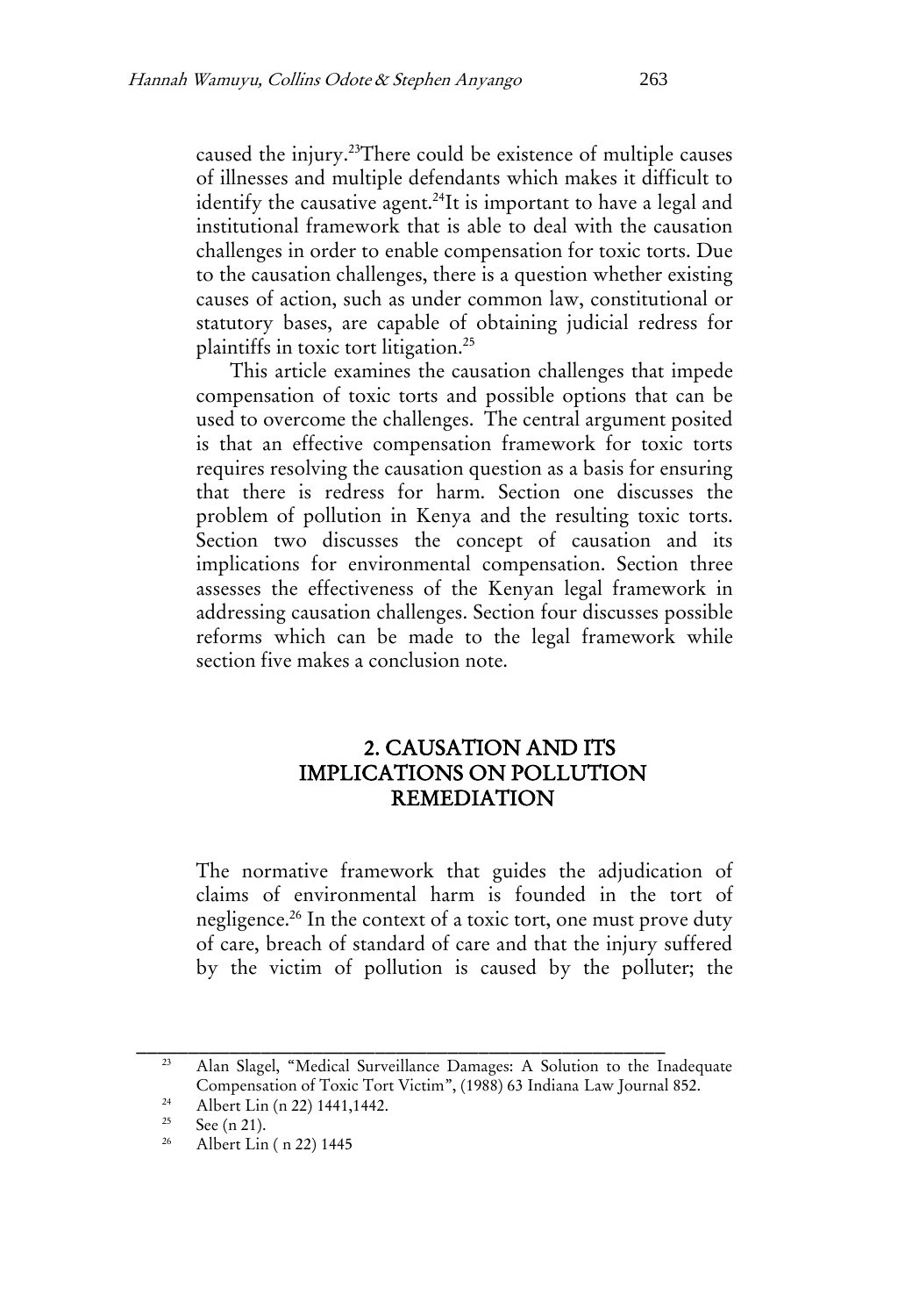caused the injury.<sup>23</sup>There could be existence of multiple causes of illnesses and multiple defendants which makes it difficult to identify the causative agent.<sup>24</sup>It is important to have a legal and institutional framework that is able to deal with the causation challenges in order to enable compensation for toxic torts. Due to the causation challenges, there is a question whether existing causes of action, such as under common law, constitutional or statutory bases, are capable of obtaining judicial redress for plaintiffs in toxic tort litigation.<sup>25</sup>

This article examines the causation challenges that impede compensation of toxic torts and possible options that can be used to overcome the challenges. The central argument posited is that an effective compensation framework for toxic torts requires resolving the causation question as a basis for ensuring that there is redress for harm. Section one discusses the problem of pollution in Kenya and the resulting toxic torts. Section two discusses the concept of causation and its implications for environmental compensation. Section three assesses the effectiveness of the Kenyan legal framework in addressing causation challenges. Section four discusses possible reforms which can be made to the legal framework while section five makes a conclusion note.

# 2. CAUSATION AND ITS IMPLICATIONS ON POLLUTION REMEDIATION

The normative framework that guides the adjudication of claims of environmental harm is founded in the tort of negligence.<sup>26</sup> In the context of a toxic tort, one must prove duty of care, breach of standard of care and that the injury suffered by the victim of pollution is caused by the polluter; the

<sup>23</sup> Alan Slagel, "Medical Surveillance Damages: A Solution to the Inadequate Compensation of Toxic Tort Victim", (1988) 63 Indiana Law Journal 852.

<sup>&</sup>lt;sup>24</sup> Albert Lin (n 22) 1441,1442.

<sup>&</sup>lt;sup>25</sup> See (n 21).

<sup>26</sup> Albert Lin ( n 22) 1445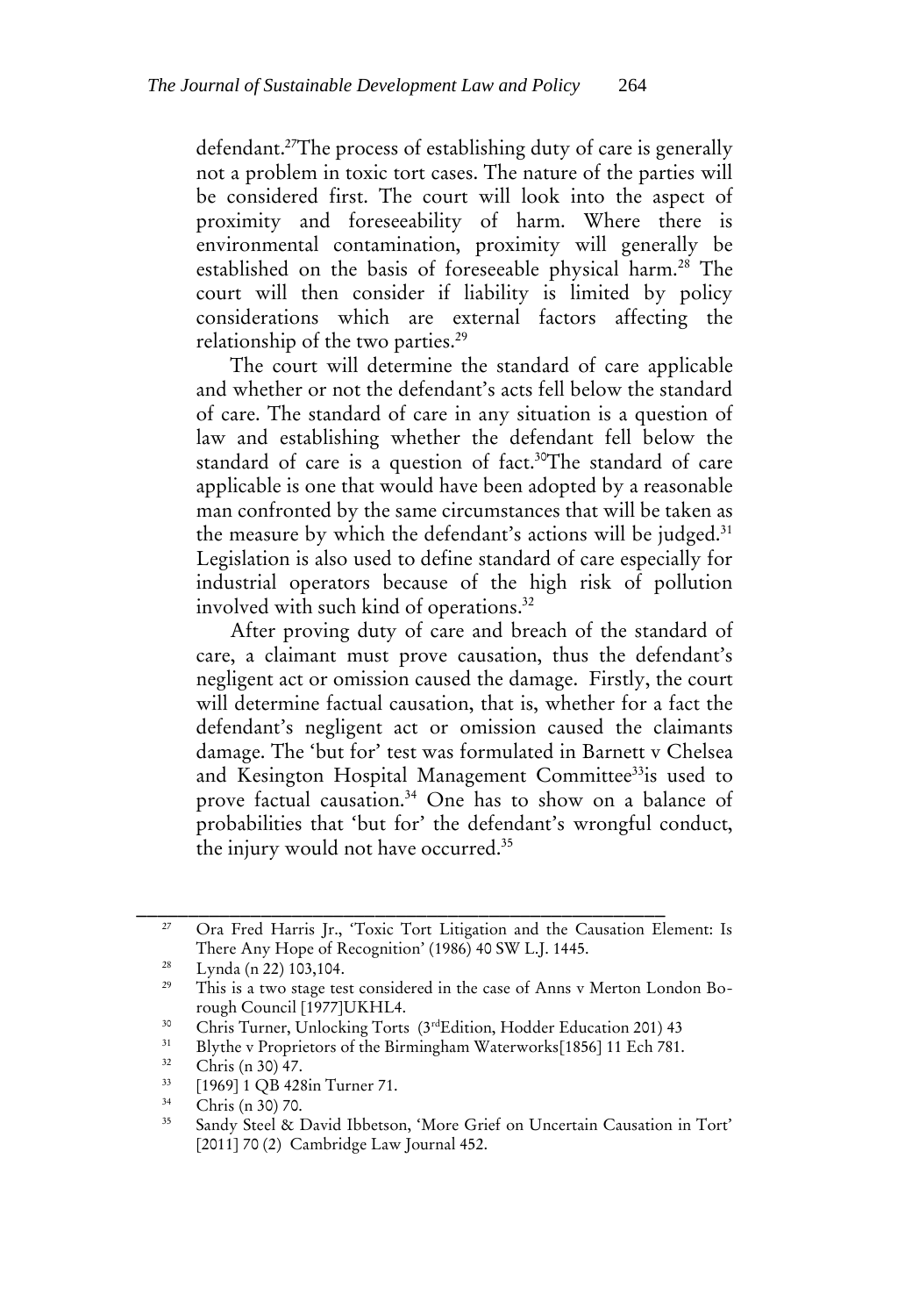defendant.<sup>27</sup>The process of establishing duty of care is generally not a problem in toxic tort cases. The nature of the parties will be considered first. The court will look into the aspect of proximity and foreseeability of harm. Where there is environmental contamination, proximity will generally be established on the basis of foreseeable physical harm.<sup>28</sup> The court will then consider if liability is limited by policy considerations which are external factors affecting the relationship of the two parties.<sup>29</sup>

The court will determine the standard of care applicable and whether or not the defendant's acts fell below the standard of care. The standard of care in any situation is a question of law and establishing whether the defendant fell below the standard of care is a question of fact.<sup>30</sup>The standard of care applicable is one that would have been adopted by a reasonable man confronted by the same circumstances that will be taken as the measure by which the defendant's actions will be judged.<sup>31</sup> Legislation is also used to define standard of care especially for industrial operators because of the high risk of pollution involved with such kind of operations.<sup>32</sup>

After proving duty of care and breach of the standard of care, a claimant must prove causation, thus the defendant's negligent act or omission caused the damage. Firstly, the court will determine factual causation, that is, whether for a fact the defendant's negligent act or omission caused the claimants damage. The 'but for' test was formulated in Barnett v Chelsea and Kesington Hospital Management Committee<sup>33</sup>is used to prove factual causation.<sup>34</sup> One has to show on a balance of probabilities that 'but for' the defendant's wrongful conduct, the injury would not have occurred.<sup>35</sup>

<sup>&</sup>lt;sup>27</sup> Ora Fred Harris Jr., 'Toxic Tort Litigation and the Causation Element: Is There Any Hope of Recognition' (1986) 40 SW L.J. 1445.

 $\frac{28}{22}$  Lynda (n 22) 103,104.

This is a two stage test considered in the case of Anns v Merton London Borough Council [1977]UKHL4.

<sup>&</sup>lt;sup>30</sup> Chris Turner, Unlocking Torts (3<sup>rd</sup>Edition, Hodder Education 201) 43<br><sup>31</sup> Blurba y Proprietors of the Birmingham Weterworks[1956] 11 Esh 791

<sup>&</sup>lt;sup>31</sup> Blythe v Proprietors of the Birmingham Waterworks[1856] 11 Ech 781.

<sup>32</sup> Chris (n 30) 47.

 $^{33}$  [1969] 1 QB 428in Turner 71.

 $rac{34}{35}$  Chris (n 30) 70.

Sandy Steel & David Ibbetson, 'More Grief on Uncertain Causation in Tort' [2011] 70 (2) Cambridge Law Journal 452.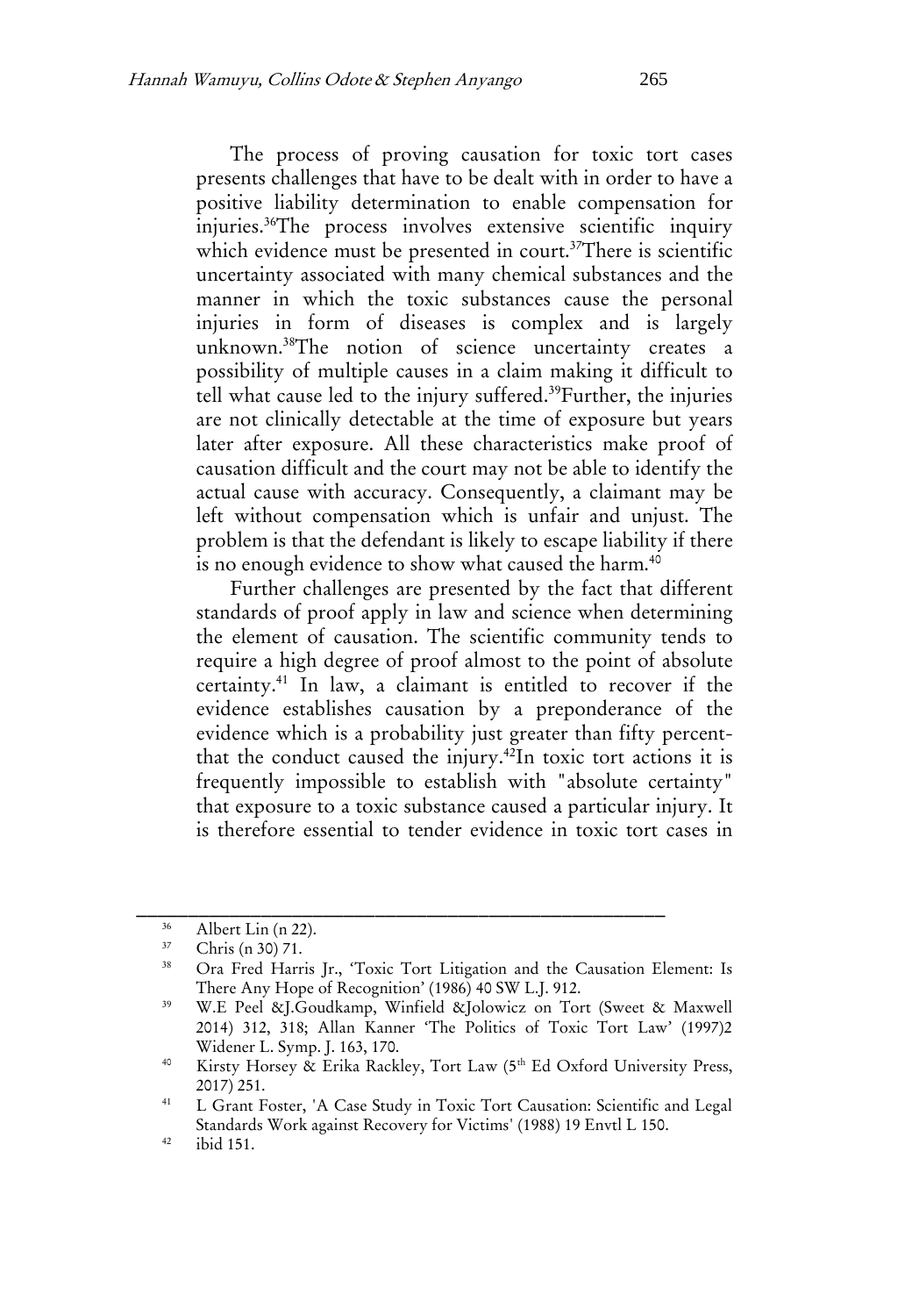The process of proving causation for toxic tort cases presents challenges that have to be dealt with in order to have a positive liability determination to enable compensation for injuries.<sup>36</sup>The process involves extensive scientific inquiry which evidence must be presented in court.<sup>37</sup>There is scientific uncertainty associated with many chemical substances and the manner in which the toxic substances cause the personal injuries in form of diseases is complex and is largely unknown.<sup>38</sup>The notion of science uncertainty creates a possibility of multiple causes in a claim making it difficult to tell what cause led to the injury suffered.<sup>39</sup>Further, the injuries are not clinically detectable at the time of exposure but years later after exposure. All these characteristics make proof of causation difficult and the court may not be able to identify the actual cause with accuracy. Consequently, a claimant may be left without compensation which is unfair and unjust. The problem is that the defendant is likely to escape liability if there is no enough evidence to show what caused the harm.<sup>40</sup>

Further challenges are presented by the fact that different standards of proof apply in law and science when determining the element of causation. The scientific community tends to require a high degree of proof almost to the point of absolute certainty.<sup>41</sup> In law, a claimant is entitled to recover if the evidence establishes causation by a preponderance of the evidence which is a probability just greater than fifty percentthat the conduct caused the injury.<sup>42</sup>In toxic tort actions it is frequently impossible to establish with "absolute certainty" that exposure to a toxic substance caused a particular injury. It is therefore essential to tender evidence in toxic tort cases in

 $^{36}$  Albert Lin (n 22).

 $37$  Chris (n 30) 71.

<sup>38</sup> Ora Fred Harris Jr., 'Toxic Tort Litigation and the Causation Element: Is There Any Hope of Recognition' (1986) 40 SW L.J. 912.

<sup>39</sup> W.E Peel &J.Goudkamp, Winfield &Jolowicz on Tort (Sweet & Maxwell 2014) 312, 318; Allan Kanner 'The Politics of Toxic Tort Law' (1997)2 Widener L. Symp. J. 163, 170.

<sup>&</sup>lt;sup>40</sup> Kirsty Horsey & Erika Rackley, Tort Law (5<sup>th</sup> Ed Oxford University Press, 2017) 251.

<sup>41</sup> L Grant Foster, 'A Case Study in Toxic Tort Causation: Scientific and Legal Standards Work against Recovery for Victims' (1988) 19 Envtl L 150.

<sup>42</sup> ibid 151.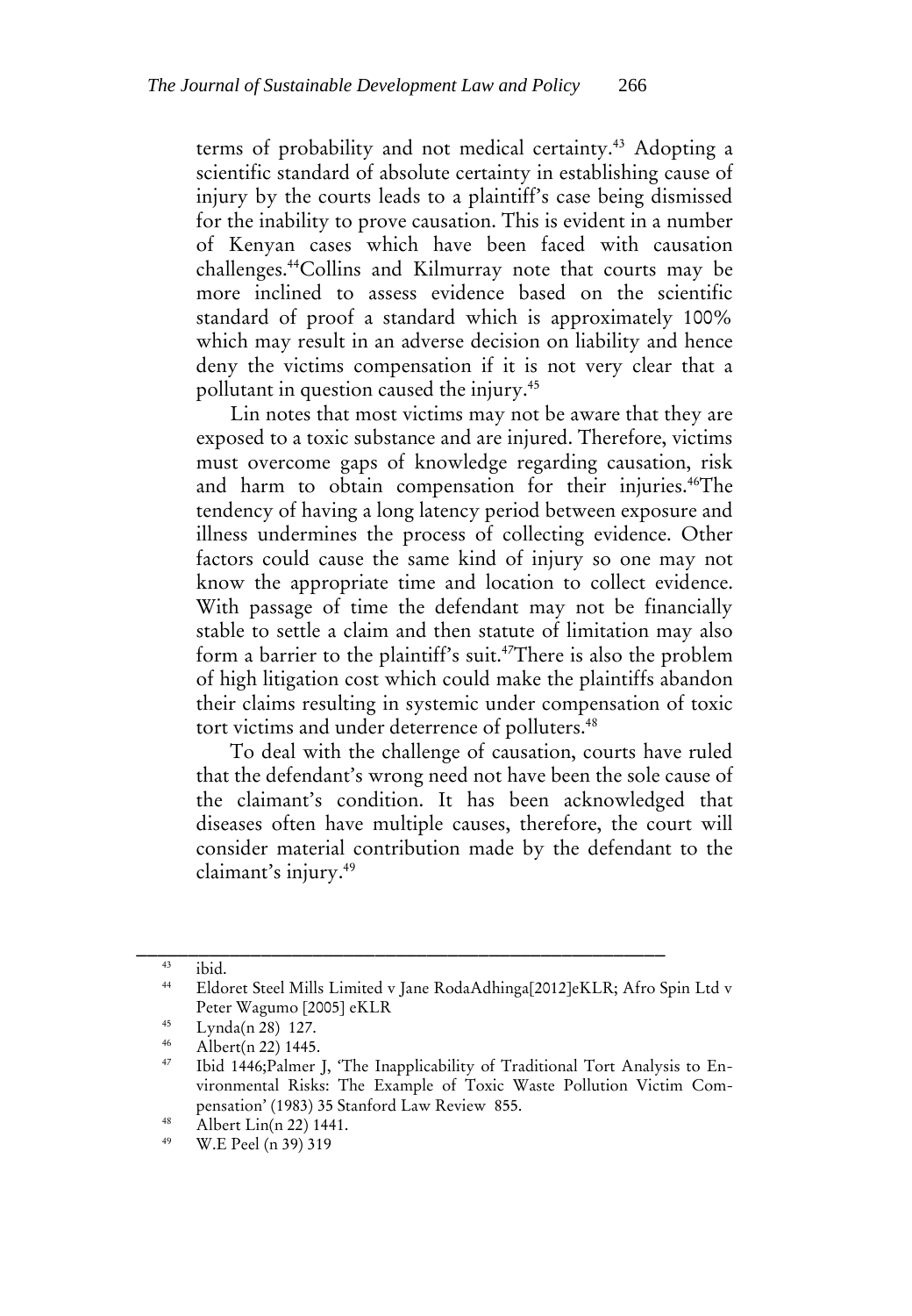terms of probability and not medical certainty.<sup>43</sup> Adopting a scientific standard of absolute certainty in establishing cause of injury by the courts leads to a plaintiff's case being dismissed for the inability to prove causation. This is evident in a number of Kenyan cases which have been faced with causation challenges.<sup>44</sup>Collins and Kilmurray note that courts may be more inclined to assess evidence based on the scientific standard of proof a standard which is approximately 100% which may result in an adverse decision on liability and hence deny the victims compensation if it is not very clear that a pollutant in question caused the injury.<sup>45</sup>

Lin notes that most victims may not be aware that they are exposed to a toxic substance and are injured. Therefore, victims must overcome gaps of knowledge regarding causation, risk and harm to obtain compensation for their injuries.<sup>46</sup>The tendency of having a long latency period between exposure and illness undermines the process of collecting evidence. Other factors could cause the same kind of injury so one may not know the appropriate time and location to collect evidence. With passage of time the defendant may not be financially stable to settle a claim and then statute of limitation may also form a barrier to the plaintiff's suit.<sup>47</sup>There is also the problem of high litigation cost which could make the plaintiffs abandon their claims resulting in systemic under compensation of toxic tort victims and under deterrence of polluters.<sup>48</sup>

To deal with the challenge of causation, courts have ruled that the defendant's wrong need not have been the sole cause of the claimant's condition. It has been acknowledged that diseases often have multiple causes, therefore, the court will consider material contribution made by the defendant to the claimant's injury.<sup>49</sup>

<sup>43</sup> ibid.

<sup>44</sup> Eldoret Steel Mills Limited v Jane RodaAdhinga[2012]eKLR; Afro Spin Ltd v Peter Wagumo [2005] eKLR

 $^{45}$  Lynda(n 28) 127.

 $^{46}$  Albert(n 22) 1445.

Ibid 1446;Palmer J, 'The Inapplicability of Traditional Tort Analysis to Environmental Risks: The Example of Toxic Waste Pollution Victim Compensation' (1983) 35 Stanford Law Review 855.

<sup>&</sup>lt;sup>48</sup> Albert Lin(n 22) 1441.

W.E Peel (n 39) 319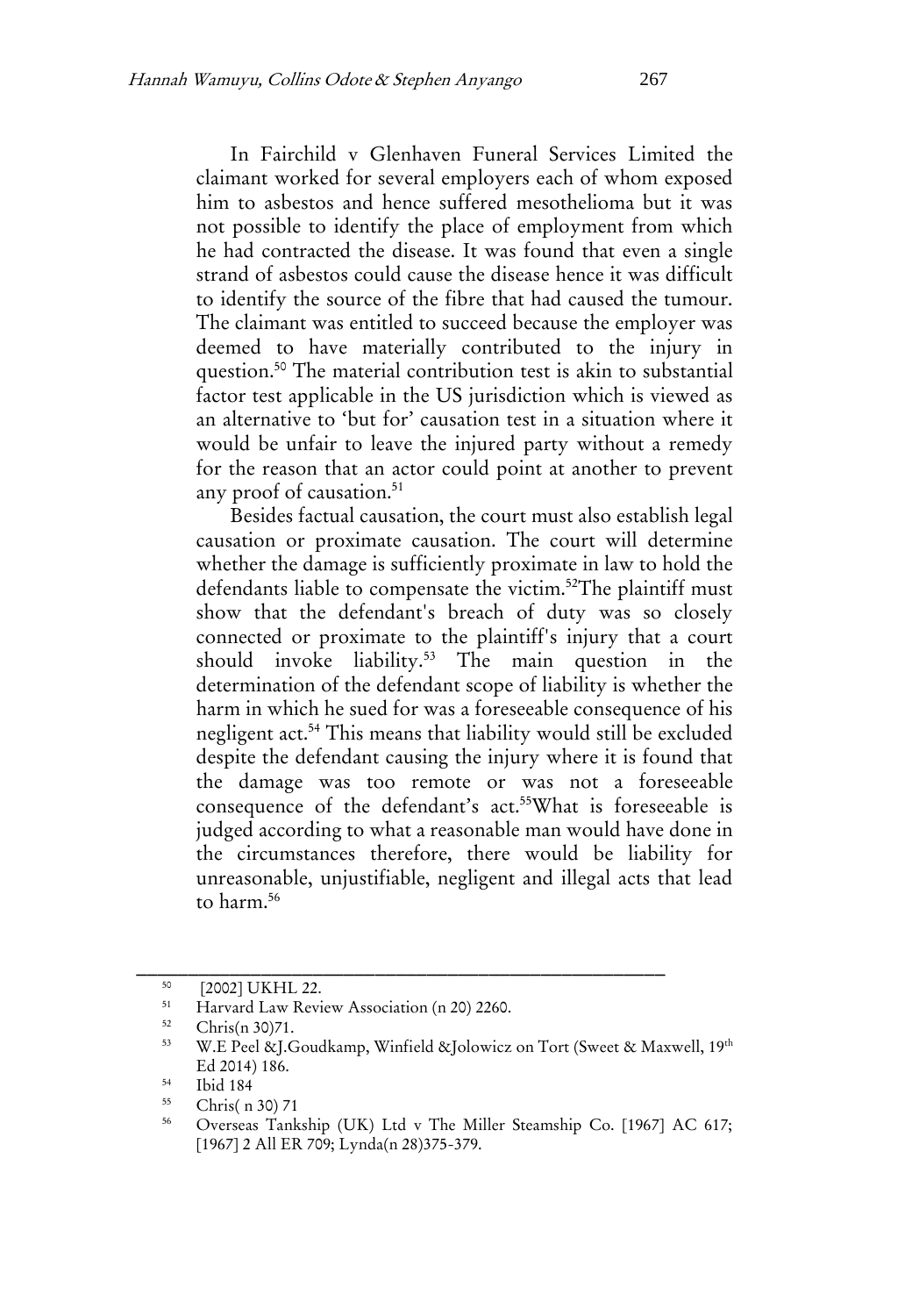In Fairchild v Glenhaven Funeral Services Limited the claimant worked for several employers each of whom exposed him to asbestos and hence suffered mesothelioma but it was not possible to identify the place of employment from which he had contracted the disease. It was found that even a single strand of asbestos could cause the disease hence it was difficult to identify the source of the fibre that had caused the tumour. The claimant was entitled to succeed because the employer was deemed to have materially contributed to the injury in question.<sup>50</sup> The material contribution test is akin to substantial factor test applicable in the US jurisdiction which is viewed as an alternative to 'but for' causation test in a situation where it would be unfair to leave the injured party without a remedy for the reason that an actor could point at another to prevent any proof of causation.<sup>51</sup>

Besides factual causation, the court must also establish legal causation or proximate causation. The court will determine whether the damage is sufficiently proximate in law to hold the defendants liable to compensate the victim.<sup>52</sup>The plaintiff must show that the defendant's breach of duty was so closely connected or proximate to the plaintiff's injury that a court should invoke liability.<sup>53</sup> The main question in the determination of the defendant scope of liability is whether the harm in which he sued for was a foreseeable consequence of his negligent act.<sup>54</sup> This means that liability would still be excluded despite the defendant causing the injury where it is found that the damage was too remote or was not a foreseeable consequence of the defendant's act.<sup>55</sup>What is foreseeable is judged according to what a reasonable man would have done in the circumstances therefore, there would be liability for unreasonable, unjustifiable, negligent and illegal acts that lead to harm. 56

 $^{50}$  [2002] UKHL 22.

<sup>&</sup>lt;sup>51</sup> Harvard Law Review Association (n 20) 2260.<br> $\frac{52}{2}$  Clube(n 20) 71

 $\frac{52}{53}$  Chris(n 30)71.

W.E Peel &J.Goudkamp, Winfield &Jolowicz on Tort (Sweet & Maxwell, 19th Ed 2014) 186.

 $\frac{54}{55}$  Ibid 184

 $\frac{55}{56}$  Chris( n 30) 71

<sup>56</sup> Overseas Tankship (UK) Ltd v The Miller Steamship Co. [1967] AC 617; [1967] 2 All ER 709; Lynda(n 28)375-379.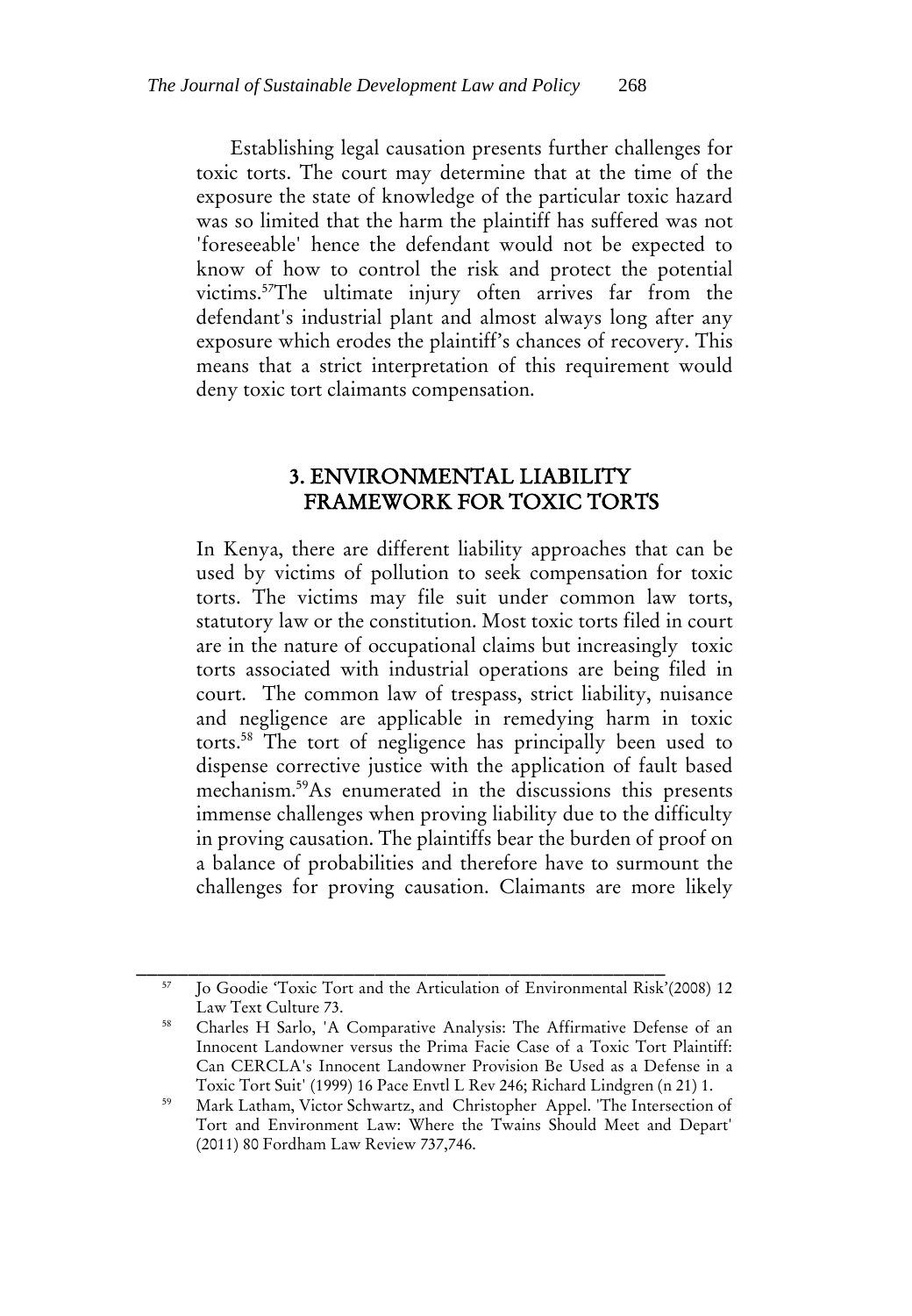Establishing legal causation presents further challenges for toxic torts. The court may determine that at the time of the exposure the state of knowledge of the particular toxic hazard was so limited that the harm the plaintiff has suffered was not 'foreseeable' hence the defendant would not be expected to know of how to control the risk and protect the potential victims.<sup>57</sup>The ultimate injury often arrives far from the defendant's industrial plant and almost always long after any exposure which erodes the plaintiff's chances of recovery. This means that a strict interpretation of this requirement would deny toxic tort claimants compensation.

# 3. ENVIRONMENTAL LIABILITY FRAMEWORK FOR TOXIC TORTS

In Kenya, there are different liability approaches that can be used by victims of pollution to seek compensation for toxic torts. The victims may file suit under common law torts, statutory law or the constitution. Most toxic torts filed in court are in the nature of occupational claims but increasingly toxic torts associated with industrial operations are being filed in court. The common law of trespass, strict liability, nuisance and negligence are applicable in remedying harm in toxic torts.<sup>58</sup> The tort of negligence has principally been used to dispense corrective justice with the application of fault based mechanism.<sup>59</sup>As enumerated in the discussions this presents immense challenges when proving liability due to the difficulty in proving causation. The plaintiffs bear the burden of proof on a balance of probabilities and therefore have to surmount the challenges for proving causation. Claimants are more likely

<sup>57</sup> Jo Goodie 'Toxic Tort and the Articulation of Environmental Risk'(2008) 12 Law Text Culture 73.

<sup>58</sup> Charles H Sarlo, 'A Comparative Analysis: The Affirmative Defense of an Innocent Landowner versus the Prima Facie Case of a Toxic Tort Plaintiff: Can CERCLA's Innocent Landowner Provision Be Used as a Defense in a Toxic Tort Suit' (1999) 16 Pace Envtl L Rev 246; Richard Lindgren (n 21) 1.

<sup>59</sup> Mark Latham, Victor Schwartz, and Christopher Appel. 'The Intersection of Tort and Environment Law: Where the Twains Should Meet and Depart' (2011) 80 Fordham Law Review 737,746.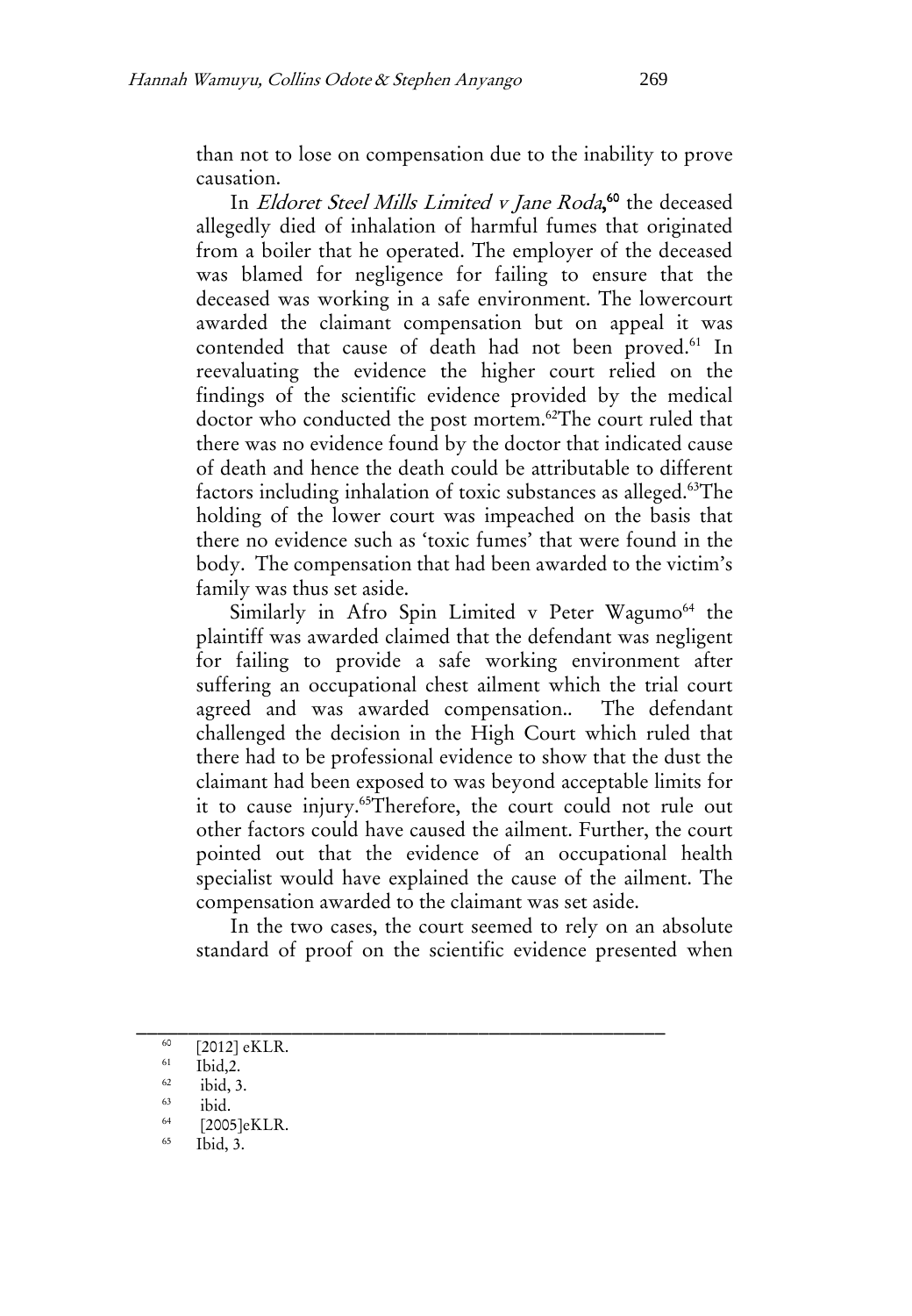than not to lose on compensation due to the inability to prove causation.

In Eldoret Steel Mills Limited v Jane Roda, <sup>60</sup> the deceased allegedly died of inhalation of harmful fumes that originated from a boiler that he operated. The employer of the deceased was blamed for negligence for failing to ensure that the deceased was working in a safe environment. The lowercourt awarded the claimant compensation but on appeal it was contended that cause of death had not been proved.<sup>61</sup> In reevaluating the evidence the higher court relied on the findings of the scientific evidence provided by the medical doctor who conducted the post mortem.<sup>62</sup>The court ruled that there was no evidence found by the doctor that indicated cause of death and hence the death could be attributable to different factors including inhalation of toxic substances as alleged.<sup>63</sup>The holding of the lower court was impeached on the basis that there no evidence such as 'toxic fumes' that were found in the body. The compensation that had been awarded to the victim's family was thus set aside.

Similarly in Afro Spin Limited v Peter Wagumo<sup>64</sup> the plaintiff was awarded claimed that the defendant was negligent for failing to provide a safe working environment after suffering an occupational chest ailment which the trial court agreed and was awarded compensation.. The defendant challenged the decision in the High Court which ruled that there had to be professional evidence to show that the dust the claimant had been exposed to was beyond acceptable limits for it to cause injury.<sup>65</sup>Therefore, the court could not rule out other factors could have caused the ailment. Further, the court pointed out that the evidence of an occupational health specialist would have explained the cause of the ailment. The compensation awarded to the claimant was set aside.

In the two cases, the court seemed to rely on an absolute standard of proof on the scientific evidence presented when

 $^{60}$  [2012] eKLR.

 $^{61}$  Ibid, 2.<br> $^{62}$  ibid 3

 $\frac{62}{63}$  ibid, 3.

 $\frac{63}{64}$  ibid.

 $^{64}$  [2005]eKLR.

Ibid, 3.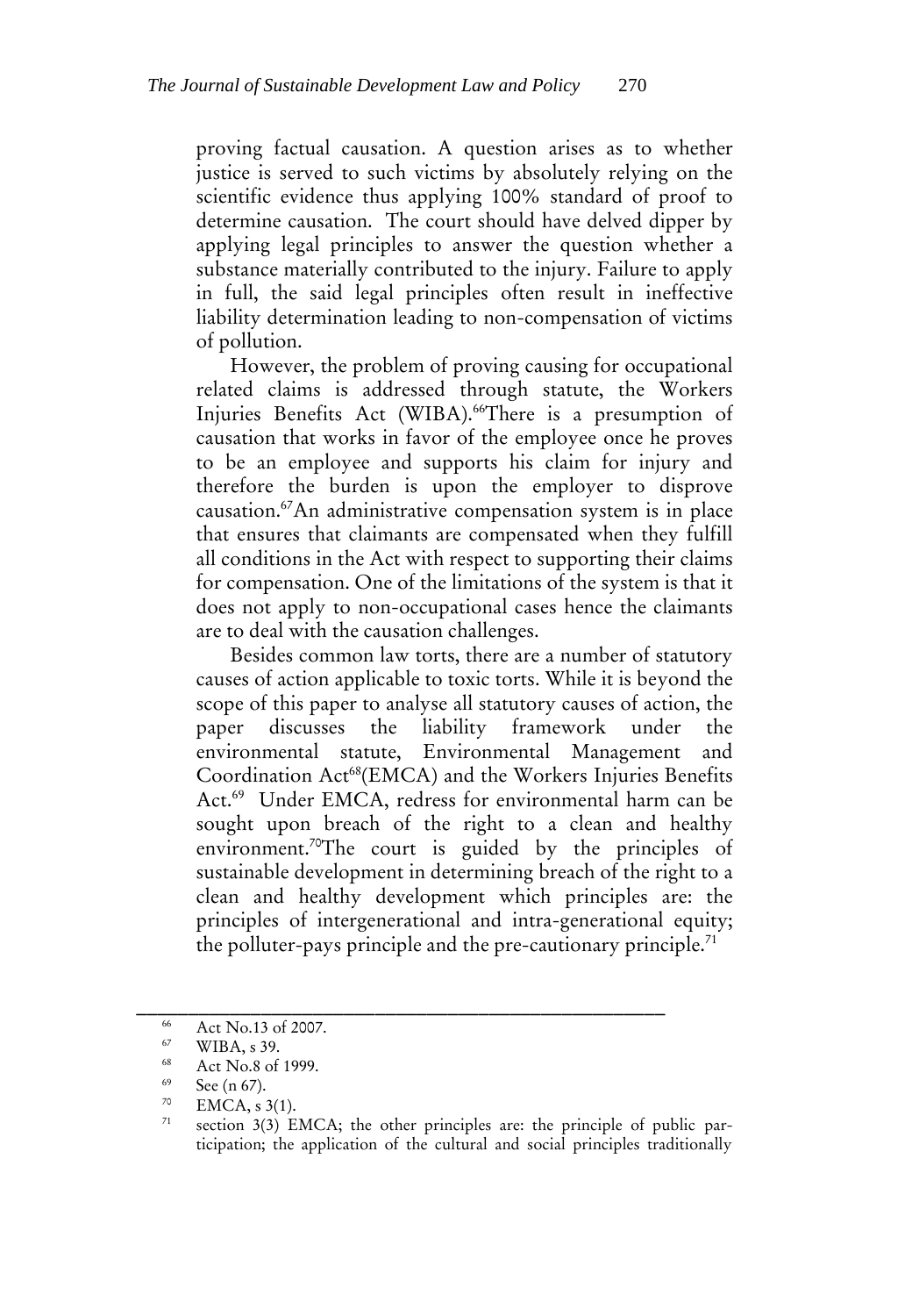proving factual causation. A question arises as to whether justice is served to such victims by absolutely relying on the scientific evidence thus applying 100% standard of proof to determine causation. The court should have delved dipper by applying legal principles to answer the question whether a substance materially contributed to the injury. Failure to apply in full, the said legal principles often result in ineffective liability determination leading to non-compensation of victims of pollution.

However, the problem of proving causing for occupational related claims is addressed through statute, the Workers Injuries Benefits Act (WIBA).<sup>66</sup>There is a presumption of causation that works in favor of the employee once he proves to be an employee and supports his claim for injury and therefore the burden is upon the employer to disprove causation.<sup>67</sup>An administrative compensation system is in place that ensures that claimants are compensated when they fulfill all conditions in the Act with respect to supporting their claims for compensation. One of the limitations of the system is that it does not apply to non-occupational cases hence the claimants are to deal with the causation challenges.

Besides common law torts, there are a number of statutory causes of action applicable to toxic torts. While it is beyond the scope of this paper to analyse all statutory causes of action, the paper discusses the liability framework under the environmental statute, Environmental Management and Coordination Act<sup>68</sup>(EMCA) and the Workers Injuries Benefits Act.<sup>69</sup> Under EMCA, redress for environmental harm can be sought upon breach of the right to a clean and healthy environment.<sup>70</sup>The court is guided by the principles of sustainable development in determining breach of the right to a clean and healthy development which principles are: the principles of intergenerational and intra-generational equity; the polluter-pays principle and the pre-cautionary principle.<sup>71</sup>

 $\frac{66}{67}$  Act No.13 of 2007.

 $^{67}$  WIBA, s 39.

Act No.8 of 1999.

<sup>69</sup>  $\frac{69}{70}$  See (n 67).

<sup>&</sup>lt;sup>70</sup> EMCA, s 3(1).

section 3(3) EMCA; the other principles are: the principle of public participation; the application of the cultural and social principles traditionally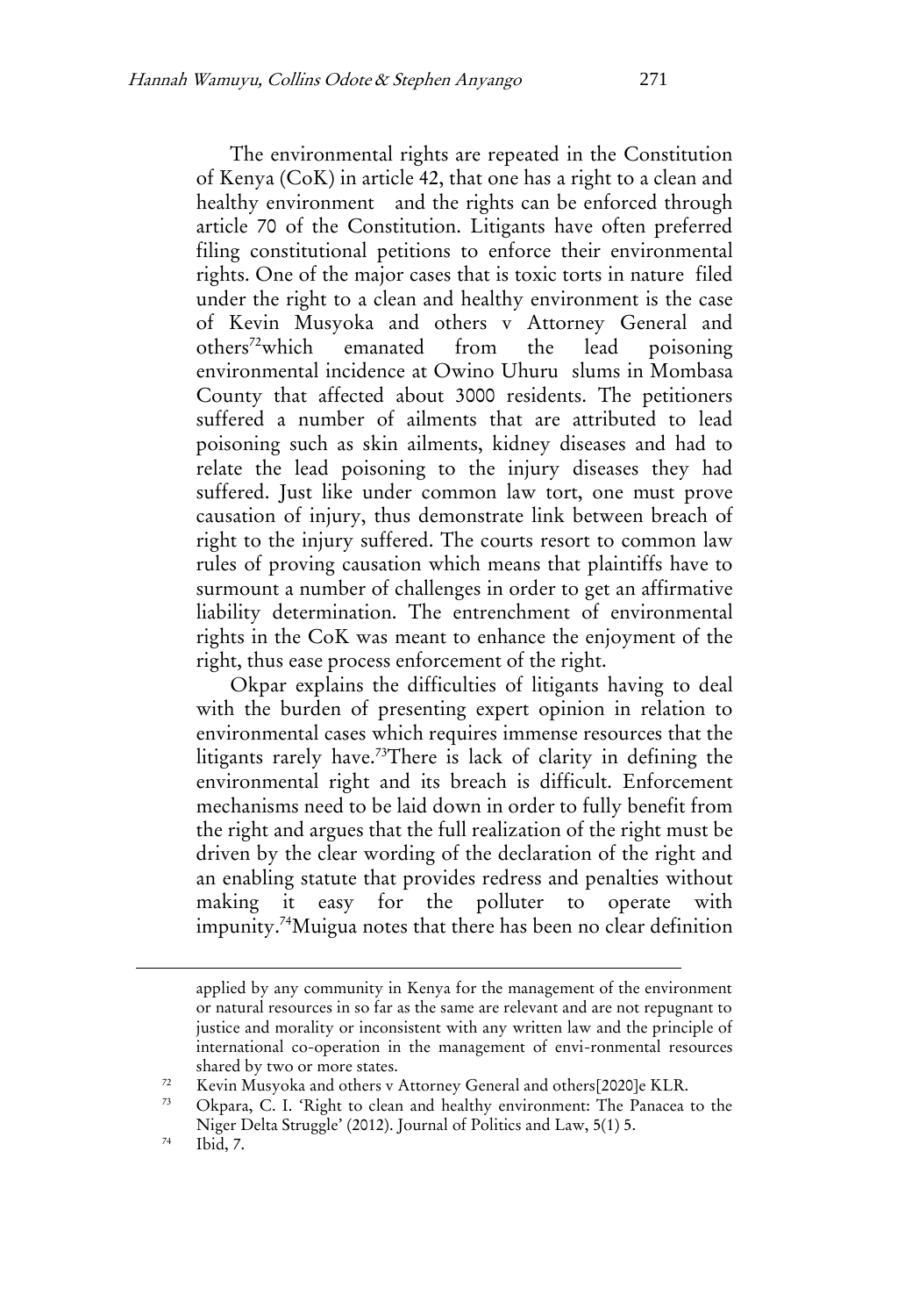The environmental rights are repeated in the Constitution of Kenya (CoK) in article 42, that one has a right to a clean and healthy environment and the rights can be enforced through article 70 of the Constitution. Litigants have often preferred filing constitutional petitions to enforce their environmental rights. One of the major cases that is toxic torts in nature filed under the right to a clean and healthy environment is the case of Kevin Musyoka and others v Attorney General and others<sup>72</sup>which emanated from the lead poisoning environmental incidence at Owino Uhuru slums in Mombasa County that affected about 3000 residents. The petitioners suffered a number of ailments that are attributed to lead poisoning such as skin ailments, kidney diseases and had to relate the lead poisoning to the injury diseases they had suffered. Just like under common law tort, one must prove causation of injury, thus demonstrate link between breach of right to the injury suffered. The courts resort to common law rules of proving causation which means that plaintiffs have to surmount a number of challenges in order to get an affirmative liability determination. The entrenchment of environmental rights in the CoK was meant to enhance the enjoyment of the right, thus ease process enforcement of the right.

Okpar explains the difficulties of litigants having to deal with the burden of presenting expert opinion in relation to environmental cases which requires immense resources that the litigants rarely have.<sup>73</sup>There is lack of clarity in defining the environmental right and its breach is difficult. Enforcement mechanisms need to be laid down in order to fully benefit from the right and argues that the full realization of the right must be driven by the clear wording of the declaration of the right and an enabling statute that provides redress and penalties without making it easy for the polluter to operate with impunity.<sup>74</sup>Muigua notes that there has been no clear definition

 $\overline{a}$ 

applied by any community in Kenya for the management of the environment or natural resources in so far as the same are relevant and are not repugnant to justice and morality or inconsistent with any written law and the principle of international co-operation in the management of envi-ronmental resources shared by two or more states.

 $\frac{72}{72}$  Kevin Musyoka and others v Attorney General and others $[2020]$ e KLR.

Okpara, C. I. 'Right to clean and healthy environment: The Panacea to the Niger Delta Struggle' (2012). Journal of Politics and Law, 5(1) 5.

 $74$  Ibid, 7.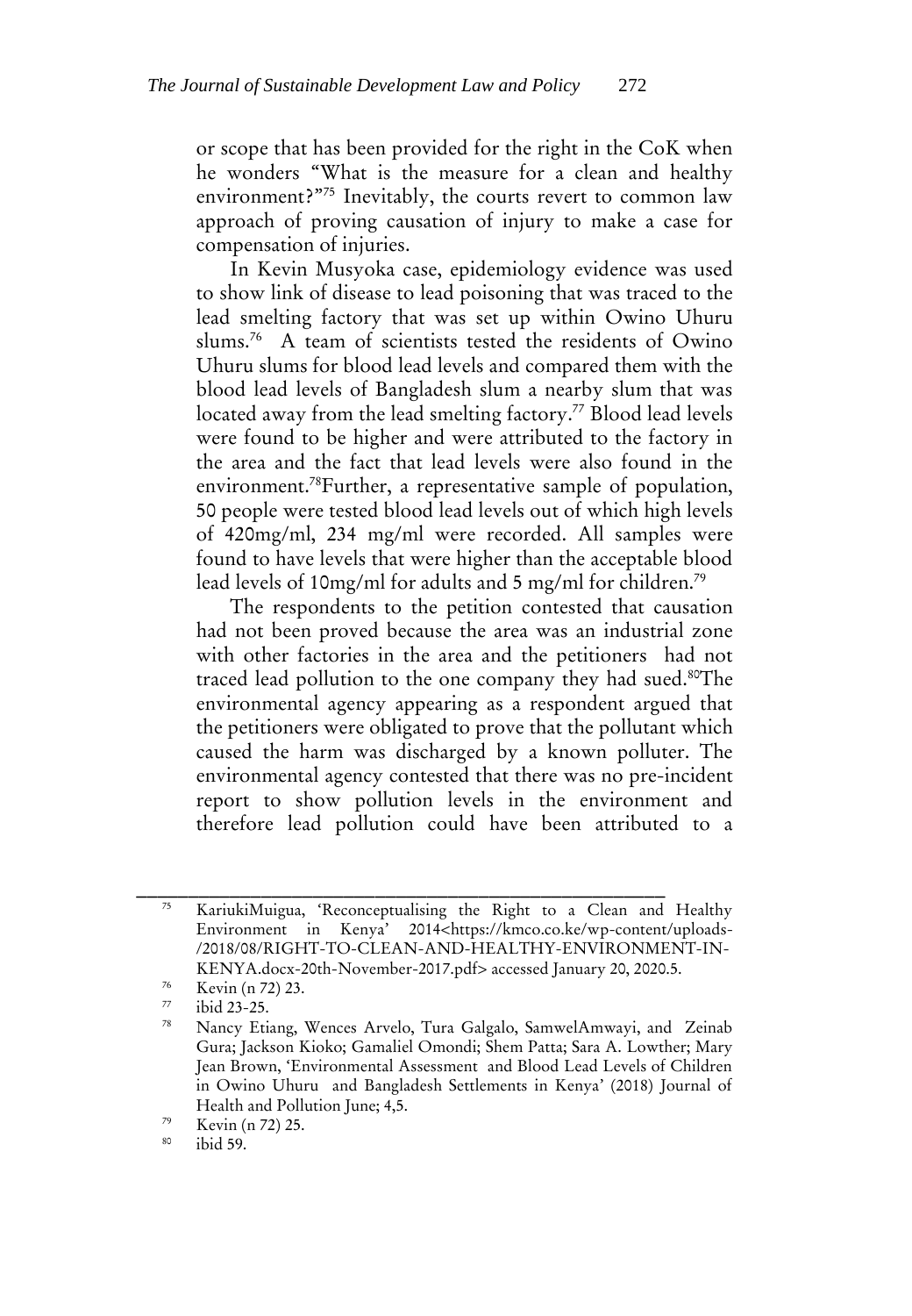or scope that has been provided for the right in the CoK when he wonders "What is the measure for a clean and healthy environment?"<sup>75</sup> Inevitably, the courts revert to common law approach of proving causation of injury to make a case for compensation of injuries.

In Kevin Musyoka case, epidemiology evidence was used to show link of disease to lead poisoning that was traced to the lead smelting factory that was set up within Owino Uhuru slums.<sup>76</sup> A team of scientists tested the residents of Owino Uhuru slums for blood lead levels and compared them with the blood lead levels of Bangladesh slum a nearby slum that was located away from the lead smelting factory.<sup>77</sup> Blood lead levels were found to be higher and were attributed to the factory in the area and the fact that lead levels were also found in the environment.<sup>78</sup>Further, a representative sample of population, 50 people were tested blood lead levels out of which high levels of 420mg/ml, 234 mg/ml were recorded. All samples were found to have levels that were higher than the acceptable blood lead levels of 10mg/ml for adults and 5 mg/ml for children.<sup>79</sup>

The respondents to the petition contested that causation had not been proved because the area was an industrial zone with other factories in the area and the petitioners had not traced lead pollution to the one company they had sued.<sup>80</sup>The environmental agency appearing as a respondent argued that the petitioners were obligated to prove that the pollutant which caused the harm was discharged by a known polluter. The environmental agency contested that there was no pre-incident report to show pollution levels in the environment and therefore lead pollution could have been attributed to a

<sup>75</sup> KariukiMuigua, 'Reconceptualising the Right to a Clean and Healthy Environment in Kenya' 2014<https://kmco.co.ke/wp-content/uploads- /2018/08/RIGHT-TO-CLEAN-AND-HEALTHY-ENVIRONMENT-IN-KENYA.docx-20th-November-2017.pdf> accessed January 20, 2020.5.

 $\frac{76}{77}$  Kevin (n 72) 23.

 $^{77}$  ibid 23-25.

Nancy Etiang, Wences Arvelo, Tura Galgalo, SamwelAmwayi, and Zeinab Gura; Jackson Kioko; Gamaliel Omondi; Shem Patta; Sara A. Lowther; Mary Jean Brown, 'Environmental Assessment and Blood Lead Levels of Children in Owino Uhuru and Bangladesh Settlements in Kenya' (2018) Journal of Health and Pollution June; 4,5.

 $\frac{79}{80}$  Kevin (n 72) 25.

ibid 59.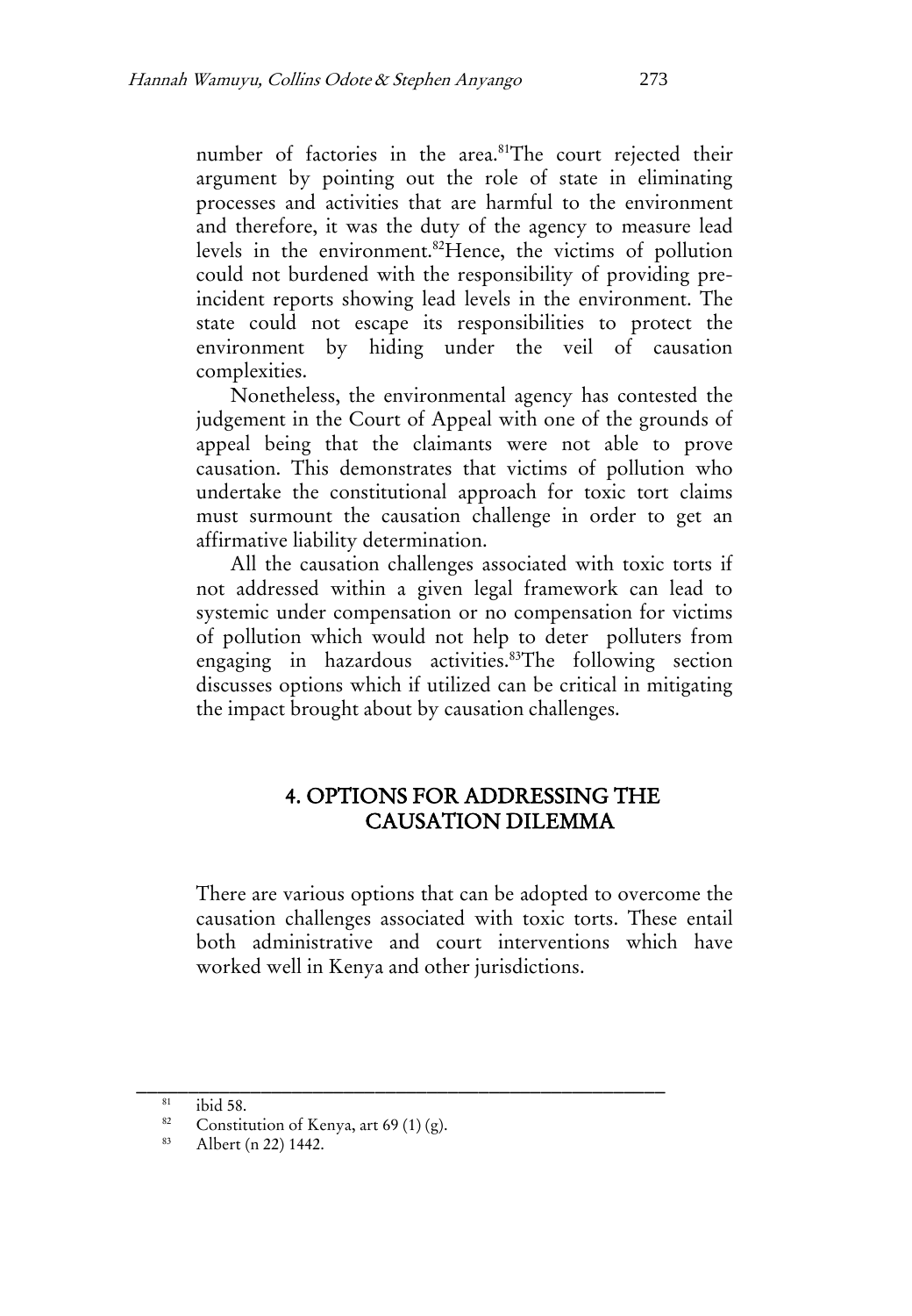number of factories in the area.<sup>81</sup>The court rejected their argument by pointing out the role of state in eliminating processes and activities that are harmful to the environment and therefore, it was the duty of the agency to measure lead levels in the environment.<sup>82</sup>Hence, the victims of pollution could not burdened with the responsibility of providing preincident reports showing lead levels in the environment. The state could not escape its responsibilities to protect the environment by hiding under the veil of causation complexities.

Nonetheless, the environmental agency has contested the judgement in the Court of Appeal with one of the grounds of appeal being that the claimants were not able to prove causation. This demonstrates that victims of pollution who undertake the constitutional approach for toxic tort claims must surmount the causation challenge in order to get an affirmative liability determination.

All the causation challenges associated with toxic torts if not addressed within a given legal framework can lead to systemic under compensation or no compensation for victims of pollution which would not help to deter polluters from engaging in hazardous activities.<sup>83</sup>The following section discusses options which if utilized can be critical in mitigating the impact brought about by causation challenges.

# 4. OPTIONS FOR ADDRESSING THE CAUSATION DILEMMA

There are various options that can be adopted to overcome the causation challenges associated with toxic torts. These entail both administrative and court interventions which have worked well in Kenya and other jurisdictions.

 $rac{81}{82}$  ibid 58.

<sup>&</sup>lt;sup>82</sup> Constitution of Kenya, art 69 (1) (g).<br><sup>83</sup> Albert (p. 22) 1442

Albert (n 22) 1442.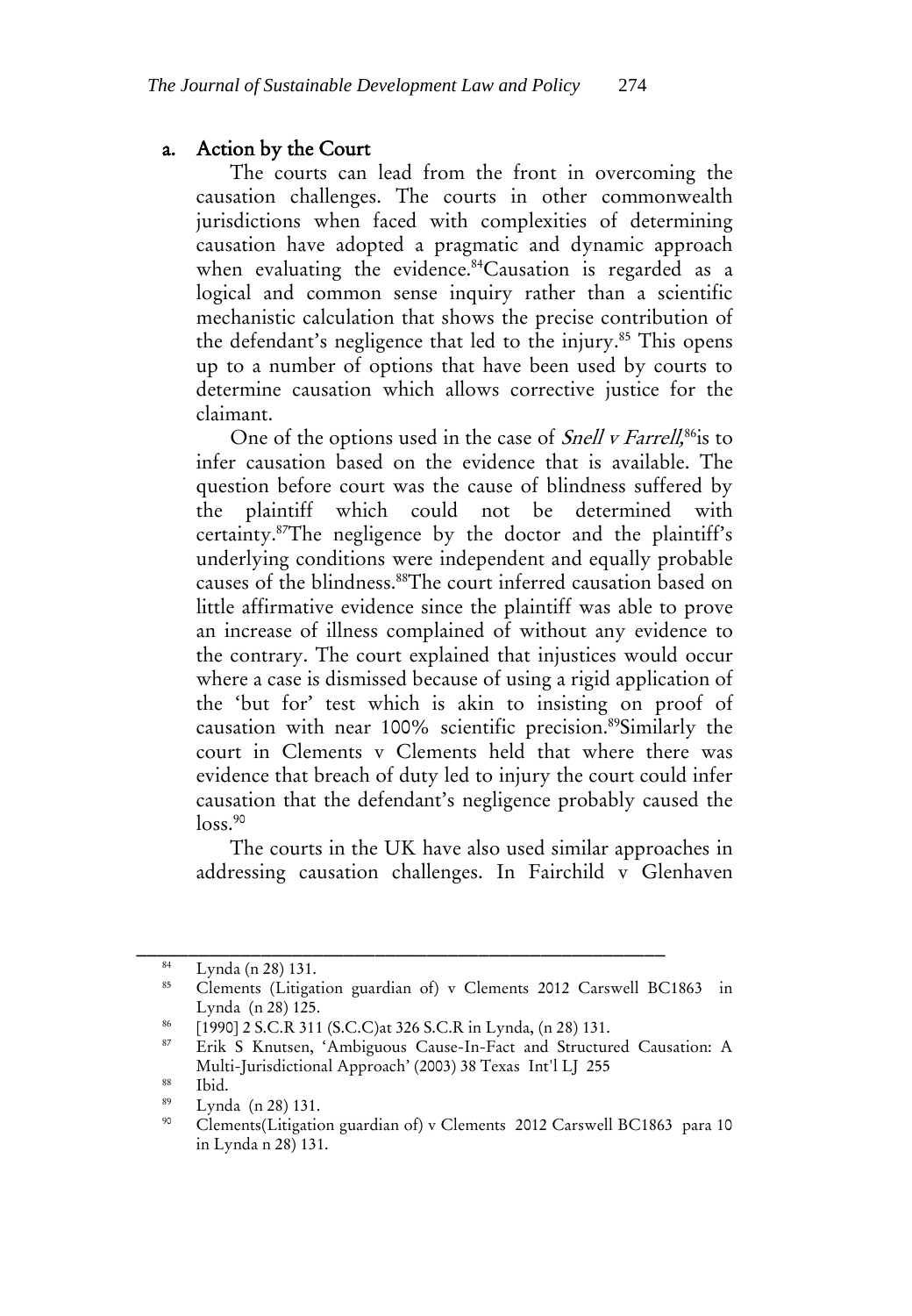#### a. Action by the Court

The courts can lead from the front in overcoming the causation challenges. The courts in other commonwealth jurisdictions when faced with complexities of determining causation have adopted a pragmatic and dynamic approach when evaluating the evidence.<sup>84</sup>Causation is regarded as a logical and common sense inquiry rather than a scientific mechanistic calculation that shows the precise contribution of the defendant's negligence that led to the injury.<sup>85</sup> This opens up to a number of options that have been used by courts to determine causation which allows corrective justice for the claimant.

One of the options used in the case of *Snell v Farrell*,<sup>86</sup>is to infer causation based on the evidence that is available. The question before court was the cause of blindness suffered by the plaintiff which could not be determined with certainty.<sup>87</sup>The negligence by the doctor and the plaintiff's underlying conditions were independent and equally probable causes of the blindness.<sup>88</sup>The court inferred causation based on little affirmative evidence since the plaintiff was able to prove an increase of illness complained of without any evidence to the contrary. The court explained that injustices would occur where a case is dismissed because of using a rigid application of the 'but for' test which is akin to insisting on proof of causation with near 100% scientific precision.<sup>89</sup>Similarly the court in Clements v Clements held that where there was evidence that breach of duty led to injury the court could infer causation that the defendant's negligence probably caused the  $loss.<sup>90</sup>$ 

The courts in the UK have also used similar approaches in addressing causation challenges. In Fairchild v Glenhaven

 $\frac{84}{85}$  Lynda (n 28) 131.

<sup>85</sup> Clements (Litigation guardian of) v Clements 2012 Carswell BC1863 in Lynda (n 28) 125.

<sup>&</sup>lt;sup>86</sup> [1990] 2 S.C.R 311 (S.C.C)at 326 S.C.R in Lynda,  $(n 28)$  131.

Erik S Knutsen, 'Ambiguous Cause-In-Fact and Structured Causation: A Multi-Jurisdictional Approach' (2003) 38 Texas Int'l LJ 255

 $rac{88}{89}$  Ibid.

 $\frac{89}{20}$  Lynda (n 28) 131.

<sup>90</sup> Clements(Litigation guardian of) v Clements 2012 Carswell BC1863 para 10 in Lynda n 28) 131.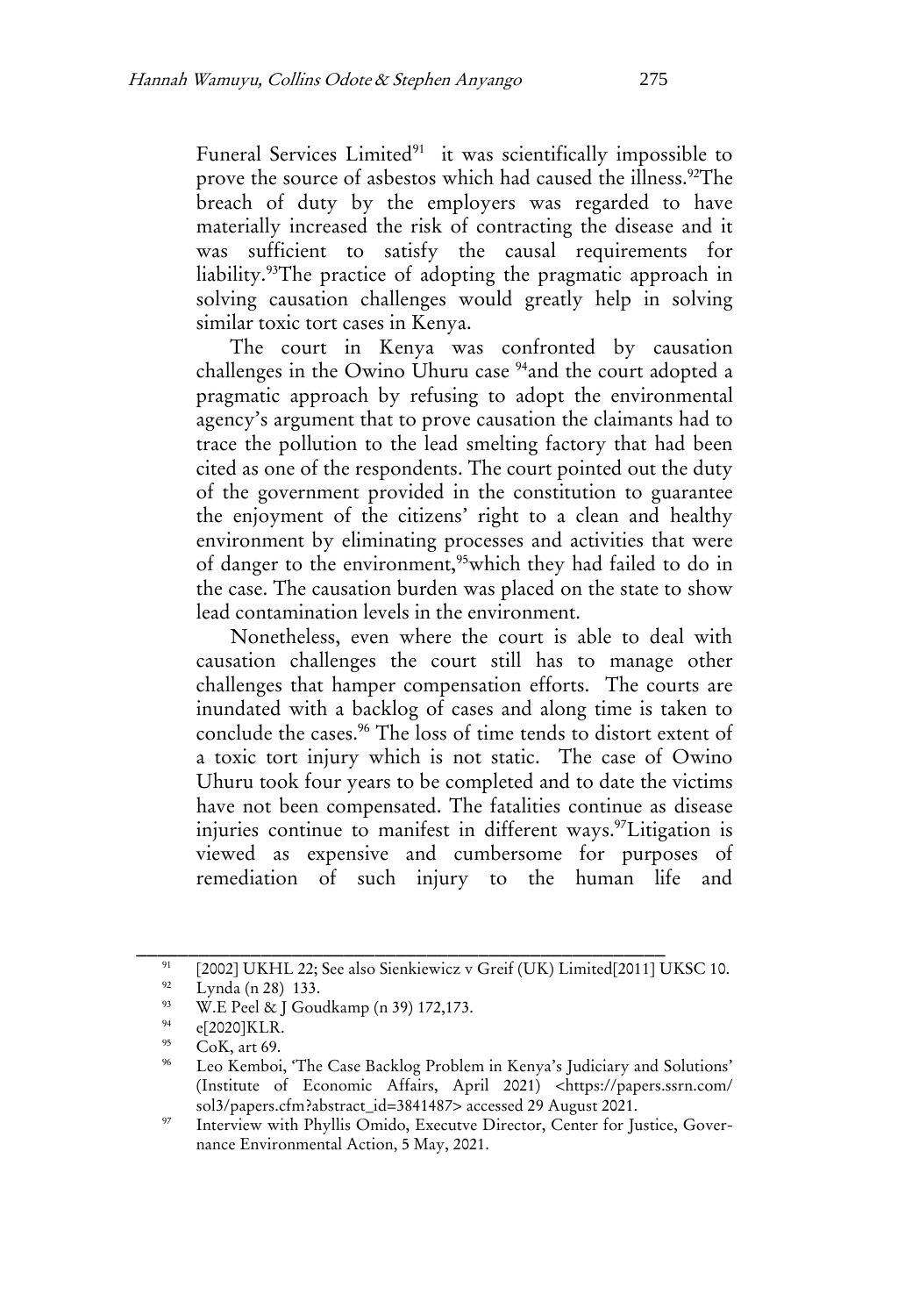Funeral Services Limited<sup>91</sup> it was scientifically impossible to prove the source of asbestos which had caused the illness.<sup>92</sup>The breach of duty by the employers was regarded to have materially increased the risk of contracting the disease and it was sufficient to satisfy the causal requirements for liability.<sup>93</sup>The practice of adopting the pragmatic approach in solving causation challenges would greatly help in solving similar toxic tort cases in Kenya.

The court in Kenya was confronted by causation challenges in the Owino Uhuru case <sup>94</sup>and the court adopted a pragmatic approach by refusing to adopt the environmental agency's argument that to prove causation the claimants had to trace the pollution to the lead smelting factory that had been cited as one of the respondents. The court pointed out the duty of the government provided in the constitution to guarantee the enjoyment of the citizens' right to a clean and healthy environment by eliminating processes and activities that were of danger to the environment,<sup>95</sup>which they had failed to do in the case. The causation burden was placed on the state to show lead contamination levels in the environment.

Nonetheless, even where the court is able to deal with causation challenges the court still has to manage other challenges that hamper compensation efforts. The courts are inundated with a backlog of cases and along time is taken to conclude the cases.<sup>96</sup> The loss of time tends to distort extent of a toxic tort injury which is not static. The case of Owino Uhuru took four years to be completed and to date the victims have not been compensated. The fatalities continue as disease injuries continue to manifest in different ways.<sup>97</sup>Litigation is viewed as expensive and cumbersome for purposes of remediation of such injury to the human life and

<sup>&</sup>lt;sup>91</sup> [2002] UKHL 22; See also Sienkiewicz v Greif (UK) Limited[2011] UKSC 10.<br><sup>92</sup> [*vm* de (a. <sup>98</sup>) 133

<sup>&</sup>lt;sup>92</sup> Lynda (n 28) 133.<br><sup>93</sup> W E Dool 85 L Cov

W.E Peel & J Goudkamp (n 39) 172,173.

<sup>94</sup>  $^{94}$  e[2020]KLR.

CoK, art 69.

<sup>96</sup> Leo Kemboi, 'The Case Backlog Problem in Kenya's Judiciary and Solutions' (Institute of Economic Affairs, April 2021) <https://papers.ssrn.com/ sol3/papers.cfm?abstract\_id=3841487> accessed 29 August 2021.

<sup>&</sup>lt;sup>97</sup> Interview with Phyllis Omido, Executve Director, Center for Justice, Governance Environmental Action, 5 May, 2021.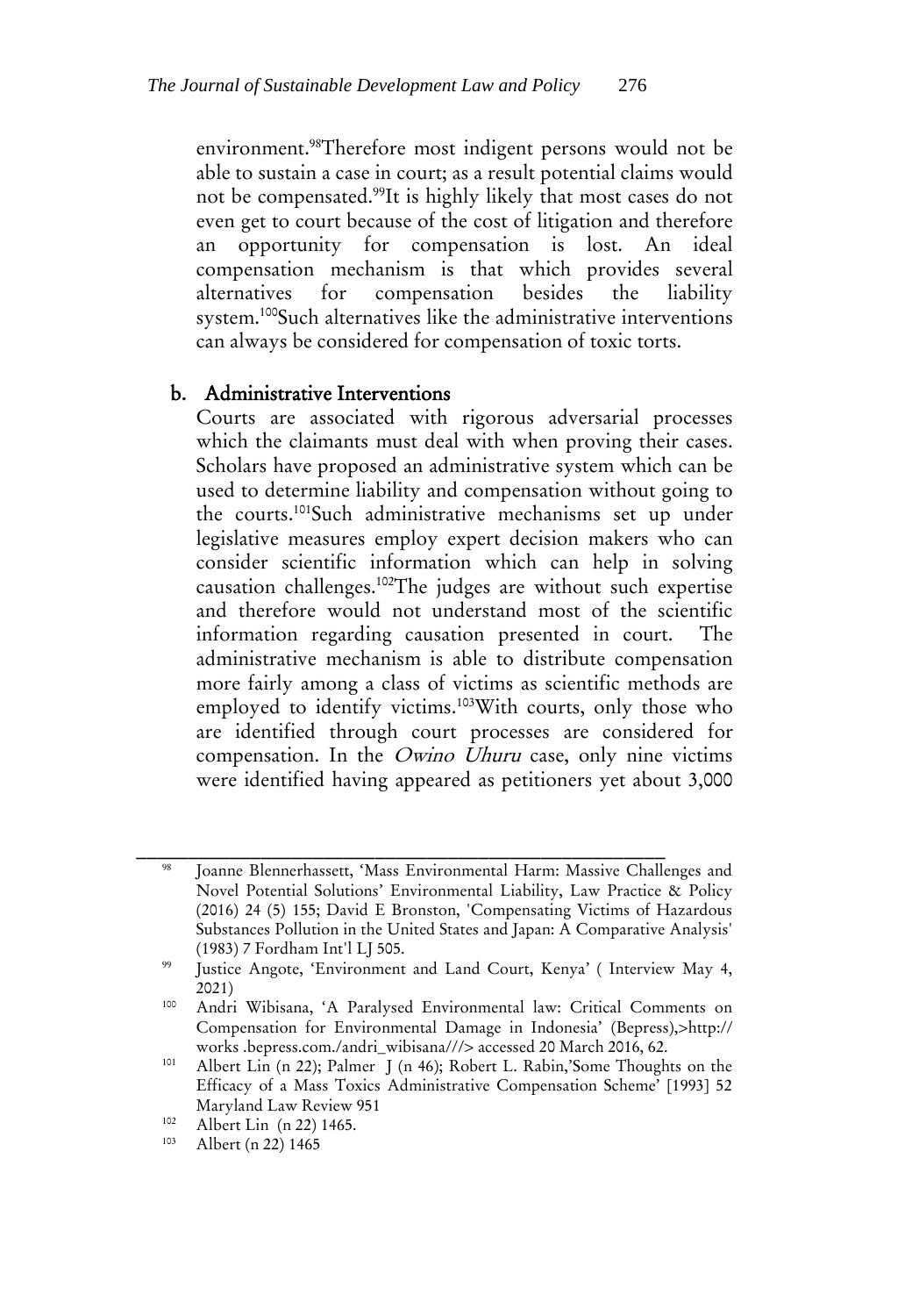environment.<sup>98</sup>Therefore most indigent persons would not be able to sustain a case in court; as a result potential claims would not be compensated.<sup>99</sup>It is highly likely that most cases do not even get to court because of the cost of litigation and therefore an opportunity for compensation is lost. An ideal compensation mechanism is that which provides several alternatives for compensation besides the liability system.<sup>100</sup>Such alternatives like the administrative interventions can always be considered for compensation of toxic torts.

### b. Administrative Interventions

Courts are associated with rigorous adversarial processes which the claimants must deal with when proving their cases. Scholars have proposed an administrative system which can be used to determine liability and compensation without going to the courts.<sup>101</sup>Such administrative mechanisms set up under legislative measures employ expert decision makers who can consider scientific information which can help in solving causation challenges.<sup>102</sup>The judges are without such expertise and therefore would not understand most of the scientific information regarding causation presented in court. The administrative mechanism is able to distribute compensation more fairly among a class of victims as scientific methods are employed to identify victims.<sup>103</sup>With courts, only those who are identified through court processes are considered for compensation. In the Owino Uhuru case, only nine victims were identified having appeared as petitioners yet about 3,000

Joanne Blennerhassett, 'Mass Environmental Harm: Massive Challenges and Novel Potential Solutions' Environmental Liability, Law Practice & Policy (2016) 24 (5) 155; David E Bronston, 'Compensating Victims of Hazardous Substances Pollution in the United States and Japan: A Comparative Analysis' (1983) 7 Fordham Int'l LJ 505.

<sup>99</sup> Justice Angote, 'Environment and Land Court, Kenya' ( Interview May 4, 2021)

<sup>100</sup> Andri Wibisana, 'A Paralysed Environmental law: Critical Comments on Compensation for Environmental Damage in Indonesia' (Bepress),>http:// works .bepress.com./andri\_wibisana///> accessed 20 March 2016, 62.

<sup>101</sup> Albert Lin (n 22); Palmer J (n 46); Robert L. Rabin,'Some Thoughts on the Efficacy of a Mass Toxics Administrative Compensation Scheme' [1993] 52 Maryland Law Review 951

 $102$  Albert Lin (n 22) 1465.

Albert (n 22) 1465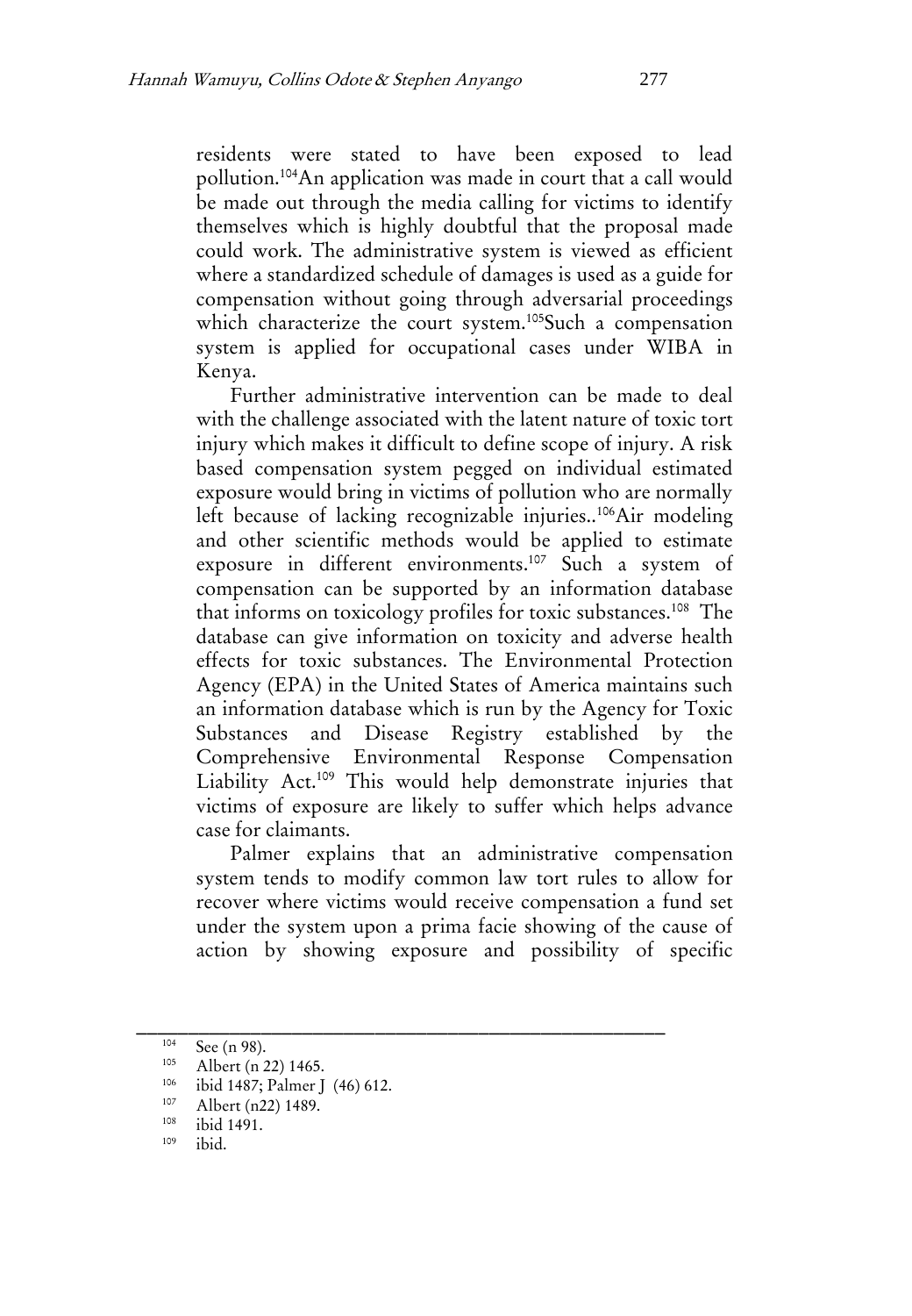residents were stated to have been exposed to lead pollution.<sup>104</sup>An application was made in court that a call would be made out through the media calling for victims to identify themselves which is highly doubtful that the proposal made could work. The administrative system is viewed as efficient where a standardized schedule of damages is used as a guide for compensation without going through adversarial proceedings which characterize the court system.<sup>105</sup>Such a compensation system is applied for occupational cases under WIBA in Kenya.

Further administrative intervention can be made to deal with the challenge associated with the latent nature of toxic tort injury which makes it difficult to define scope of injury. A risk based compensation system pegged on individual estimated exposure would bring in victims of pollution who are normally left because of lacking recognizable injuries..<sup>106</sup>Air modeling and other scientific methods would be applied to estimate exposure in different environments.<sup>107</sup> Such a system of compensation can be supported by an information database that informs on toxicology profiles for toxic substances.<sup>108</sup> The database can give information on toxicity and adverse health effects for toxic substances. The Environmental Protection Agency (EPA) in the United States of America maintains such an information database which is run by the Agency for Toxic Substances and Disease Registry established by the Comprehensive Environmental Response Compensation Liability Act.<sup>109</sup> This would help demonstrate injuries that victims of exposure are likely to suffer which helps advance case for claimants.

Palmer explains that an administrative compensation system tends to modify common law tort rules to allow for recover where victims would receive compensation a fund set under the system upon a prima facie showing of the cause of action by showing exposure and possibility of specific

 $\frac{104}{105}$  See (n 98).

Albert (n 22) 1465.

<sup>&</sup>lt;sup>106</sup> ibid 1487; Palmer J (46) 612.

 $\frac{107}{108}$  Albert (n22) 1489.

 $\frac{108}{109}$  ibid 1491.

ibid.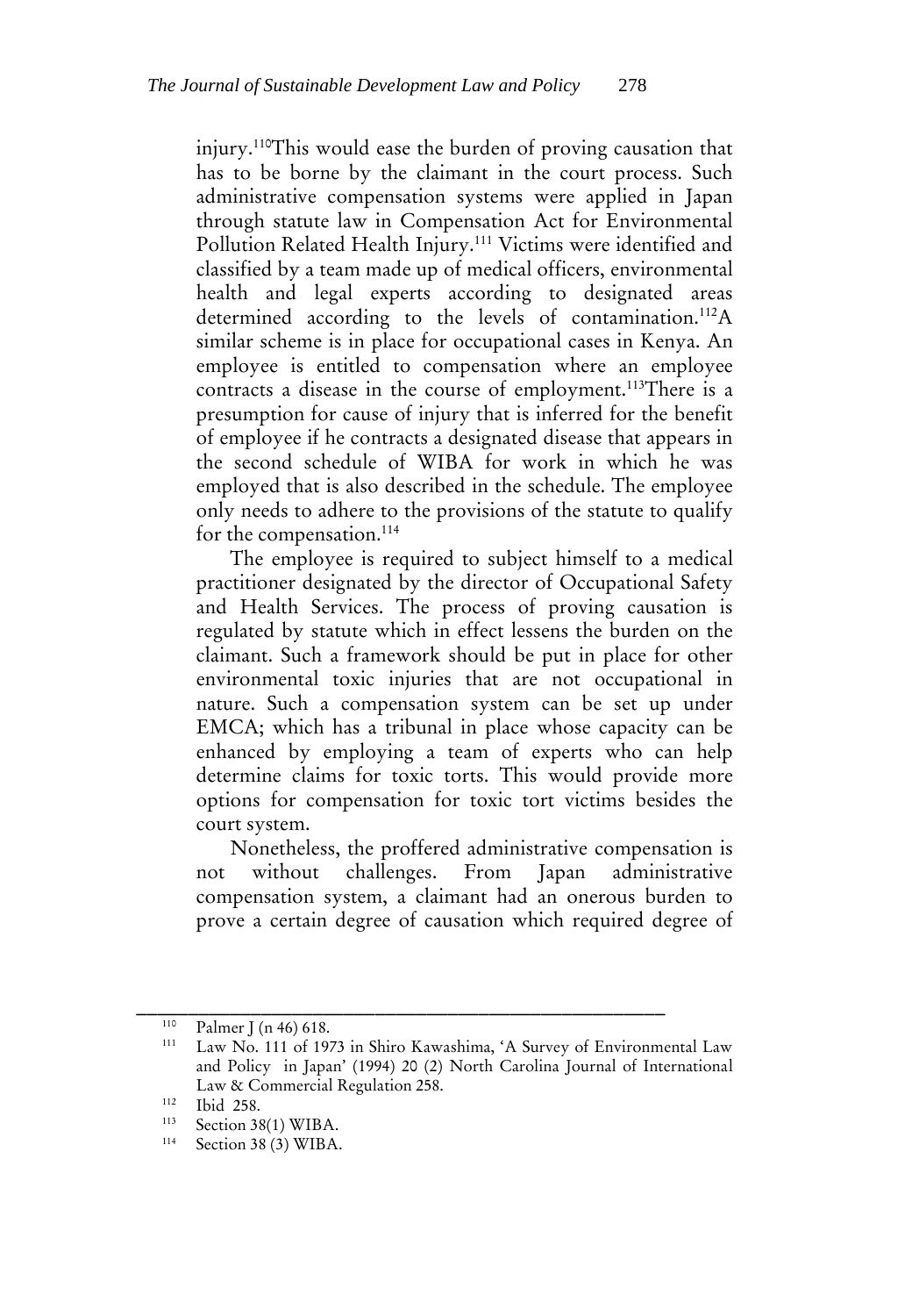injury.<sup>110</sup>This would ease the burden of proving causation that has to be borne by the claimant in the court process. Such administrative compensation systems were applied in Japan through statute law in Compensation Act for Environmental Pollution Related Health Injury.<sup>111</sup> Victims were identified and classified by a team made up of medical officers, environmental health and legal experts according to designated areas determined according to the levels of contamination.<sup>112</sup>A similar scheme is in place for occupational cases in Kenya. An employee is entitled to compensation where an employee contracts a disease in the course of employment.<sup>113</sup>There is a presumption for cause of injury that is inferred for the benefit of employee if he contracts a designated disease that appears in the second schedule of WIBA for work in which he was employed that is also described in the schedule. The employee only needs to adhere to the provisions of the statute to qualify for the compensation.<sup>114</sup>

The employee is required to subject himself to a medical practitioner designated by the director of Occupational Safety and Health Services. The process of proving causation is regulated by statute which in effect lessens the burden on the claimant. Such a framework should be put in place for other environmental toxic injuries that are not occupational in nature. Such a compensation system can be set up under EMCA; which has a tribunal in place whose capacity can be enhanced by employing a team of experts who can help determine claims for toxic torts. This would provide more options for compensation for toxic tort victims besides the court system.

Nonetheless, the proffered administrative compensation is not without challenges. From Japan administrative compensation system, a claimant had an onerous burden to prove a certain degree of causation which required degree of

 $\frac{110}{111}$  Palmer J (n 46) 618.

Law No. 111 of 1973 in Shiro Kawashima, 'A Survey of Environmental Law and Policy in Japan' (1994) 20 (2) North Carolina Journal of International Law & Commercial Regulation 258.

<sup>112</sup> Ibid 258.

<sup>113</sup> <sup>113</sup> Section 38(1) WIBA.<br><sup>114</sup> Section 38 (3) WIBA

Section 38 (3) WIBA.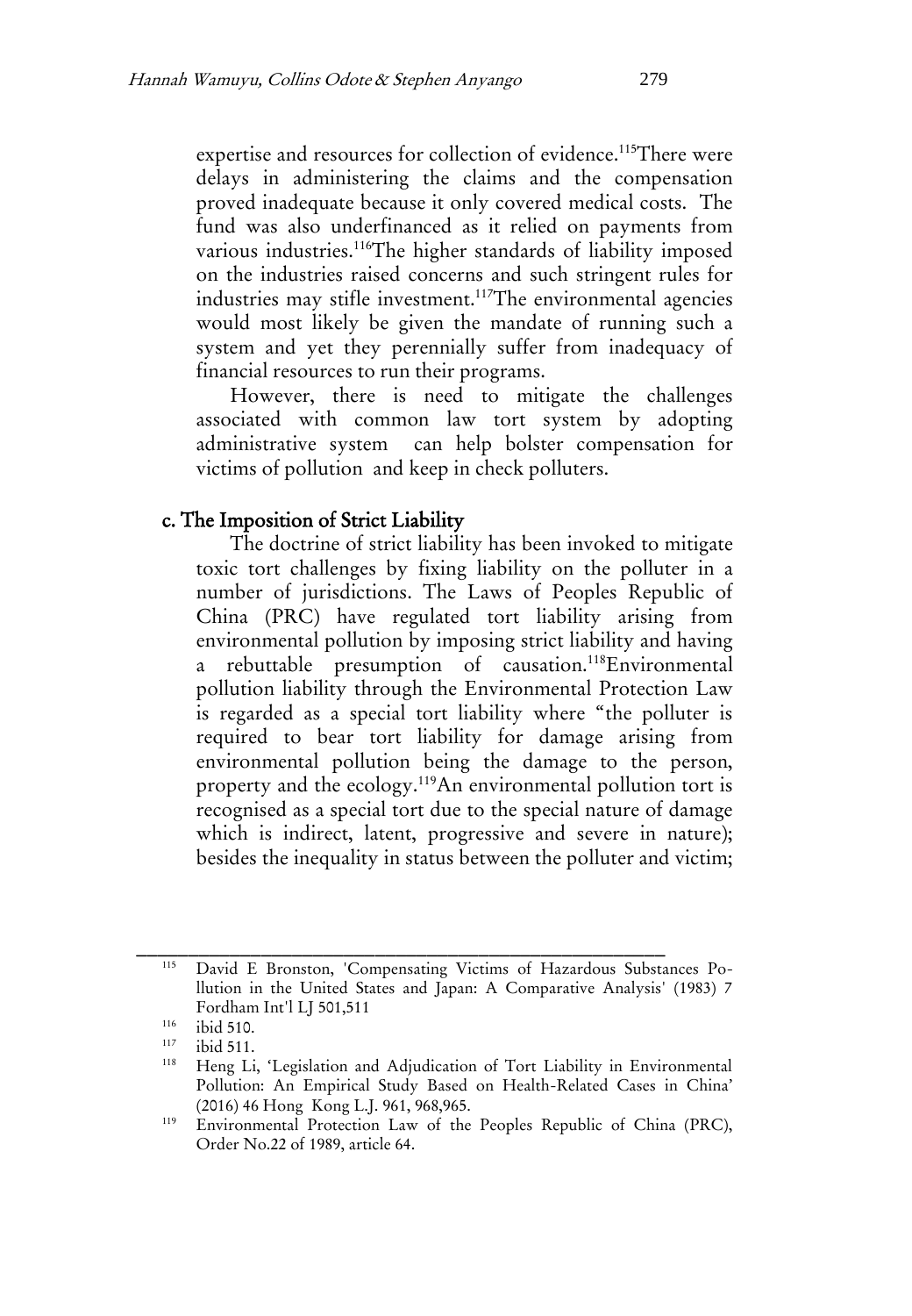expertise and resources for collection of evidence.<sup>115</sup>There were delays in administering the claims and the compensation proved inadequate because it only covered medical costs. The fund was also underfinanced as it relied on payments from various industries.<sup>116</sup>The higher standards of liability imposed on the industries raised concerns and such stringent rules for industries may stifle investment.<sup>117</sup>The environmental agencies would most likely be given the mandate of running such a system and yet they perennially suffer from inadequacy of financial resources to run their programs.

However, there is need to mitigate the challenges associated with common law tort system by adopting administrative system can help bolster compensation for victims of pollution and keep in check polluters.

#### c. The Imposition of Strict Liability

The doctrine of strict liability has been invoked to mitigate toxic tort challenges by fixing liability on the polluter in a number of jurisdictions. The Laws of Peoples Republic of China (PRC) have regulated tort liability arising from environmental pollution by imposing strict liability and having a rebuttable presumption of causation.<sup>118</sup>Environmental pollution liability through the Environmental Protection Law is regarded as a special tort liability where "the polluter is required to bear tort liability for damage arising from environmental pollution being the damage to the person, property and the ecology.<sup>119</sup>An environmental pollution tort is recognised as a special tort due to the special nature of damage which is indirect, latent, progressive and severe in nature); besides the inequality in status between the polluter and victim;

David E Bronston, 'Compensating Victims of Hazardous Substances Pollution in the United States and Japan: A Comparative Analysis' (1983) 7 Fordham Int'l LJ 501,511

 $116$  ibid 510.<br> $117$   $11:151$ 

 $117$  ibid 511.

Heng Li, 'Legislation and Adjudication of Tort Liability in Environmental Pollution: An Empirical Study Based on Health-Related Cases in China' (2016) 46 Hong Kong L.J. 961, 968,965.

<sup>119</sup> Environmental Protection Law of the Peoples Republic of China (PRC), Order No.22 of 1989, article 64.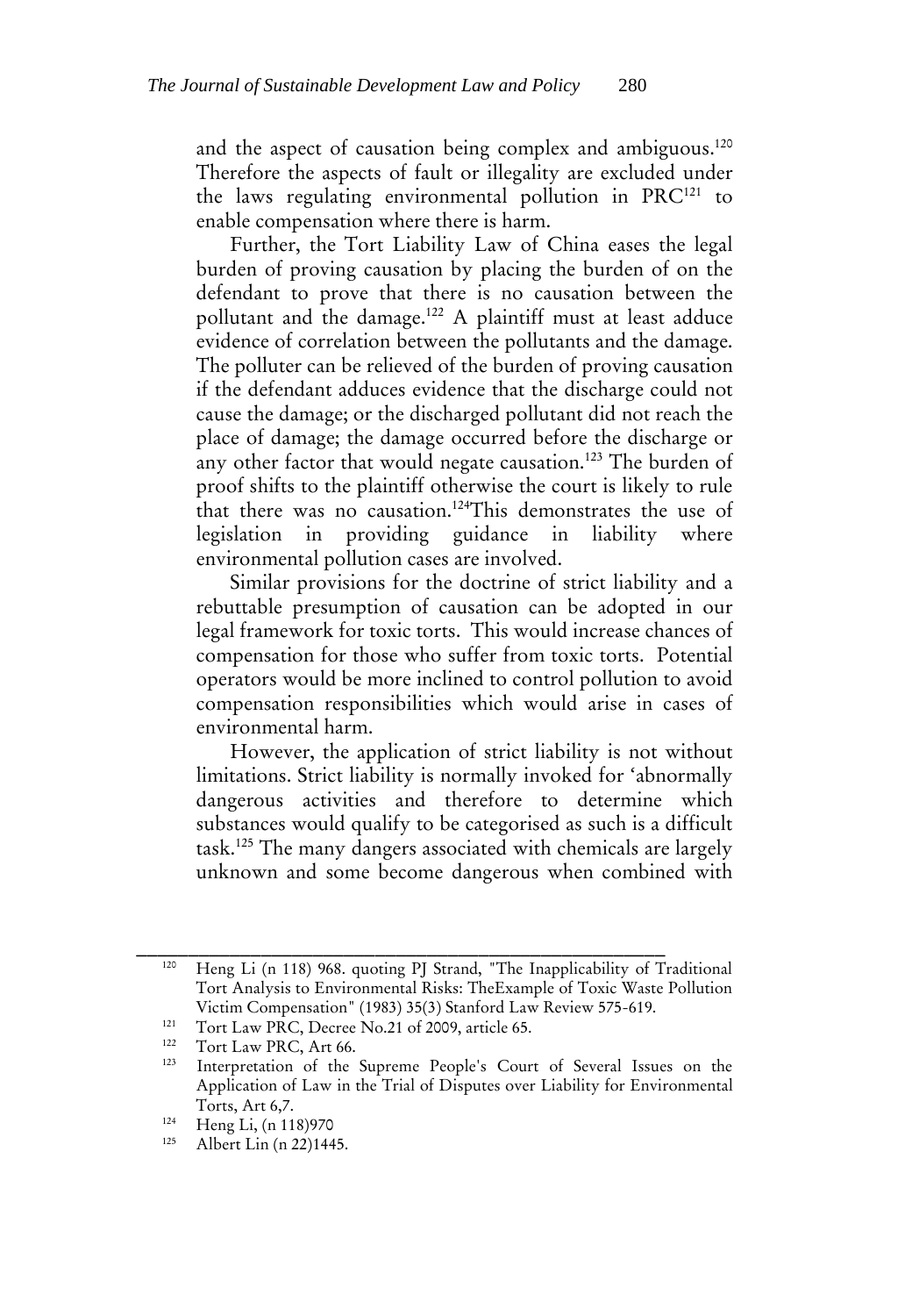and the aspect of causation being complex and ambiguous.<sup>120</sup> Therefore the aspects of fault or illegality are excluded under the laws regulating environmental pollution in PRC<sup>121</sup> to enable compensation where there is harm.

Further, the Tort Liability Law of China eases the legal burden of proving causation by placing the burden of on the defendant to prove that there is no causation between the pollutant and the damage.<sup>122</sup> A plaintiff must at least adduce evidence of correlation between the pollutants and the damage. The polluter can be relieved of the burden of proving causation if the defendant adduces evidence that the discharge could not cause the damage; or the discharged pollutant did not reach the place of damage; the damage occurred before the discharge or any other factor that would negate causation.<sup>123</sup> The burden of proof shifts to the plaintiff otherwise the court is likely to rule that there was no causation.<sup>124</sup>This demonstrates the use of legislation in providing guidance in liability where environmental pollution cases are involved.

Similar provisions for the doctrine of strict liability and a rebuttable presumption of causation can be adopted in our legal framework for toxic torts. This would increase chances of compensation for those who suffer from toxic torts. Potential operators would be more inclined to control pollution to avoid compensation responsibilities which would arise in cases of environmental harm.

However, the application of strict liability is not without limitations. Strict liability is normally invoked for 'abnormally dangerous activities and therefore to determine which substances would qualify to be categorised as such is a difficult task.<sup>125</sup> The many dangers associated with chemicals are largely unknown and some become dangerous when combined with

<sup>120</sup> Heng Li (n 118) 968. quoting PJ Strand, "The Inapplicability of Traditional Tort Analysis to Environmental Risks: TheExample of Toxic Waste Pollution Victim Compensation" (1983) 35(3) Stanford Law Review 575-619.

<sup>121</sup> Tort Law PRC, Decree No.21 of 2009, article 65.

<sup>122</sup> Tort Law PRC, Art 66.

<sup>123</sup> Interpretation of the Supreme People's Court of Several Issues on the Application of Law in the Trial of Disputes over Liability for Environmental Torts, Art 6,7.

<sup>&</sup>lt;sup>124</sup> Heng Li, (n 118) 970

Albert Lin (n 22)1445.